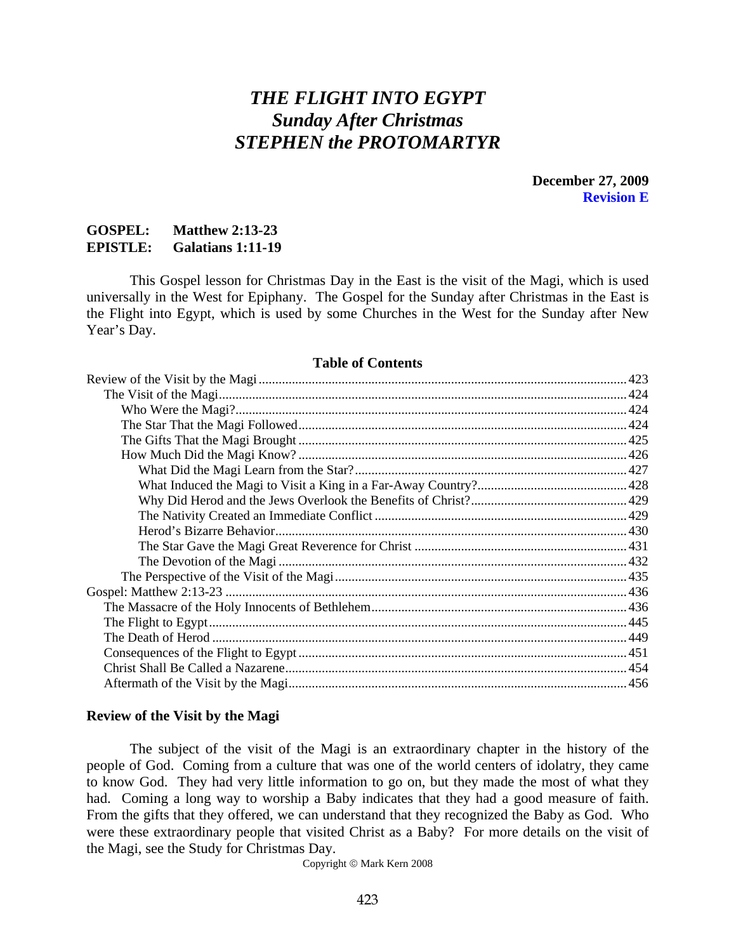# *THE FLIGHT INTO EGYPT Sunday After Christmas STEPHEN the PROTOMARTYR*

**December 27, 2009 Revision E** 

# <span id="page-0-0"></span>**GOSPEL: Matthew 2:13-23 EPISTLE: Galatians 1:11-19**

 This Gospel lesson for Christmas Day in the East is the visit of the Magi, which is used universally in the West for Epiphany. The Gospel for the Sunday after Christmas in the East is the Flight into Egypt, which is used by some Churches in the West for the Sunday after New Year's Day.

#### **Table of Contents**

#### **Review of the Visit by the Magi**

The subject of the visit of the Magi is an extraordinary chapter in the history of the people of God. Coming from a culture that was one of the world centers of idolatry, they came to know God. They had very little information to go on, but they made the most of what they had. Coming a long way to worship a Baby indicates that they had a good measure of faith. From the gifts that they offered, we can understand that they recognized the Baby as God. Who were these extraordinary people that visited Christ as a Baby? For more details on the visit of the Magi, see the Study for Christmas Day.

Copyright © Mark Kern 2008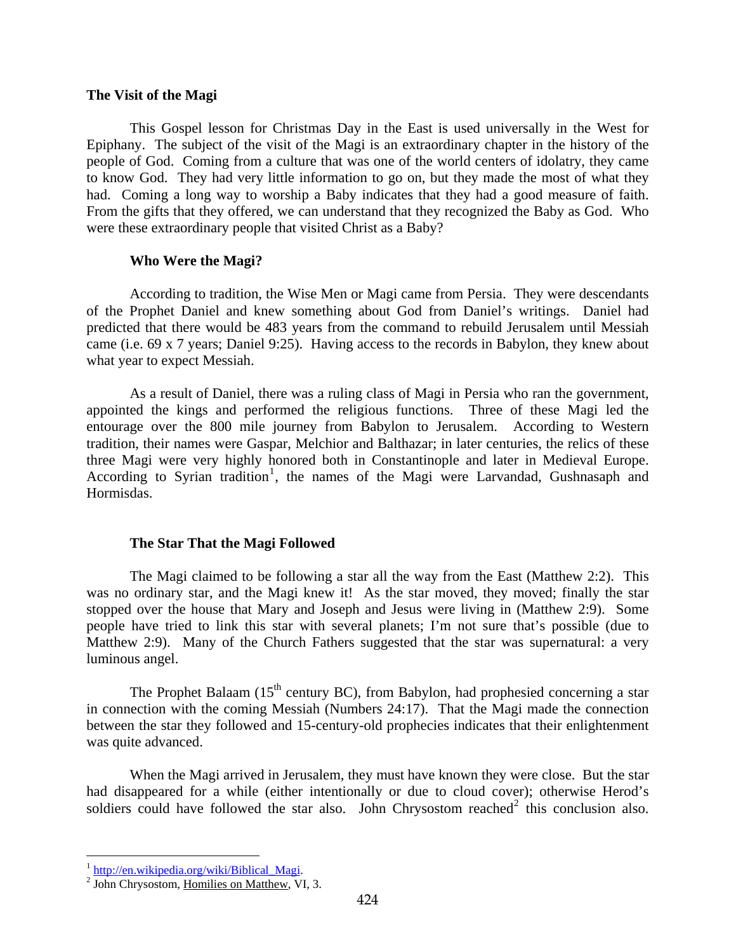#### <span id="page-1-0"></span>**The Visit of the Magi**

This Gospel lesson for Christmas Day in the East is used universally in the West for Epiphany. The subject of the visit of the Magi is an extraordinary chapter in the history of the people of God. Coming from a culture that was one of the world centers of idolatry, they came to know God. They had very little information to go on, but they made the most of what they had. Coming a long way to worship a Baby indicates that they had a good measure of faith. From the gifts that they offered, we can understand that they recognized the Baby as God. Who were these extraordinary people that visited Christ as a Baby?

#### **Who Were the Magi?**

According to tradition, the Wise Men or Magi came from Persia. They were descendants of the Prophet Daniel and knew something about God from Daniel's writings. Daniel had predicted that there would be 483 years from the command to rebuild Jerusalem until Messiah came (i.e. 69 x 7 years; Daniel 9:25). Having access to the records in Babylon, they knew about what year to expect Messiah.

As a result of Daniel, there was a ruling class of Magi in Persia who ran the government, appointed the kings and performed the religious functions. Three of these Magi led the entourage over the 800 mile journey from Babylon to Jerusalem. According to Western tradition, their names were Gaspar, Melchior and Balthazar; in later centuries, the relics of these three Magi were very highly honored both in Constantinople and later in Medieval Europe. According to Syrian tradition<sup>[1](#page-1-1)</sup>, the names of the Magi were Larvandad, Gushnasaph and Hormisdas.

#### **The Star That the Magi Followed**

The Magi claimed to be following a star all the way from the East (Matthew 2:2). This was no ordinary star, and the Magi knew it! As the star moved, they moved; finally the star stopped over the house that Mary and Joseph and Jesus were living in (Matthew 2:9). Some people have tried to link this star with several planets; I'm not sure that's possible (due to Matthew 2:9). Many of the Church Fathers suggested that the star was supernatural: a very luminous angel.

The Prophet Balaam  $(15<sup>th</sup>$  century BC), from Babylon, had prophesied concerning a star in connection with the coming Messiah (Numbers 24:17). That the Magi made the connection between the star they followed and 15-century-old prophecies indicates that their enlightenment was quite advanced.

When the Magi arrived in Jerusalem, they must have known they were close. But the star had disappeared for a while (either intentionally or due to cloud cover); otherwise Herod's soldiers could have followed the star also. John Chrysostom reached<sup>[2](#page-1-2)</sup> this conclusion also.

<span id="page-1-1"></span><sup>&</sup>lt;sup>1</sup> [http://en.wikipedia.org/wiki/Biblical\\_Magi.](http://en.wikipedia.org/wiki/Biblical_Magi)<br><sup>2</sup> John Chrysostom, <u>Ho</u>milies on Matthew, VI, 3.

<span id="page-1-2"></span>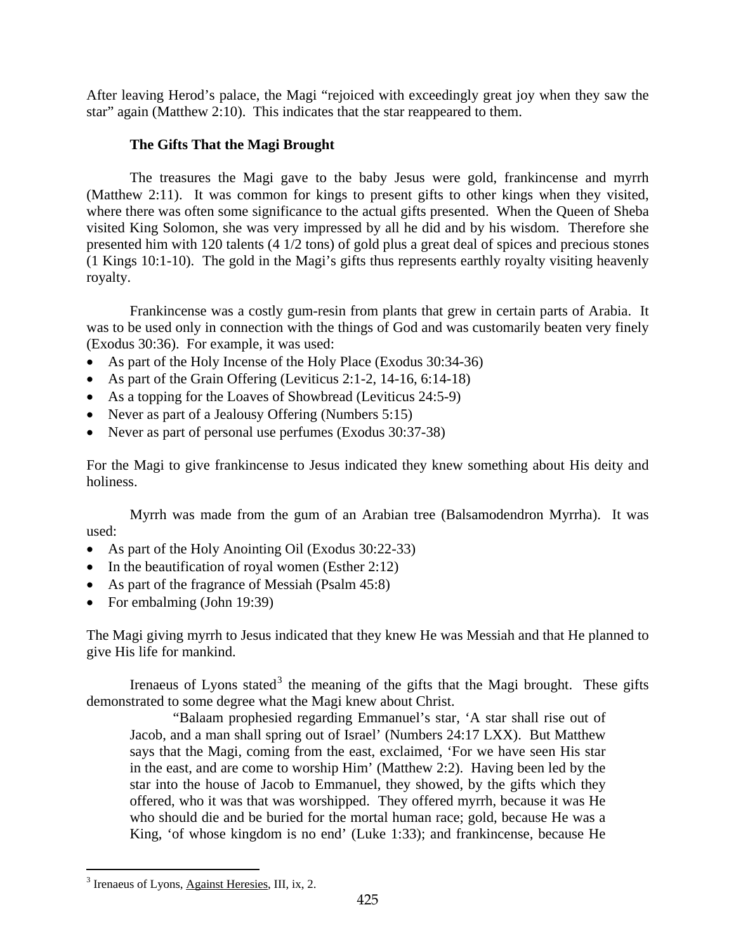<span id="page-2-0"></span>star" again (Matthew 2:10). This indicates that the star reappeared to them. After leaving Herod's palace, the Magi "rejoiced with exceedingly great joy when they saw the

# **The Gifts That the Magi Brought**

The treasures the Magi gave to the baby Jesus were gold, frankincense and myrrh (Matthew 2:11). It was common for kings to present gifts to other kings when they visited, where there was often some significance to the actual gifts presented. When the Queen of Sheba visited King Solomon, she was very impressed by all he did and by his wisdom. Therefore she presented him with 120 talents (4 1/2 tons) of gold plus a great deal of spices and precious stones (1 Kings 10:1-10). The gold in the Magi's gifts thus represents earthly royalty visiting heavenly royalty.

Frankincense was a costly gum-resin from plants that grew in certain parts of Arabia. It was to be used only in connection with the things of God and was customarily beaten very finely (Exodus 30:36). For example, it was used:

- As part of the Holy Incense of the Holy Place (Exodus 30:34-36)
- As part of the Grain Offering (Leviticus 2:1-2, 14-16, 6:14-18)
- As a topping for the Loaves of Showbread (Leviticus 24:5-9)
- Never as part of a Jealousy Offering (Numbers 5:15)
- Never as part of personal use perfumes (Exodus 30:37-38)

For the Magi to give frankincense to Jesus indicated they knew something about His deity and holiness.

Myrrh was made from the gum of an Arabian tree (Balsamodendron Myrrha). It was used:

- As part of the Holy Anointing Oil (Exodus 30:22-33)
- In the beautification of royal women (Esther 2:12)
- As part of the fragrance of Messiah (Psalm 45:8)
- For embalming (John 19:39)

The Magi giving myrrh to Jesus indicated that they knew He was Messiah and that He planned to give His life for mankind.

Irenaeus of Lyons stated<sup>[3](#page-2-1)</sup> the meaning of the gifts that the Magi brought. These gifts demonstrated to some degree what the Magi knew about Christ.

"Balaam prophesied regarding Emmanuel's star, 'A star shall rise out of Jacob, and a man shall spring out of Israel' (Numbers 24:17 LXX). But Matthew says that the Magi, coming from the east, exclaimed, 'For we have seen His star in the east, and are come to worship Him' (Matthew 2:2). Having been led by the star into the house of Jacob to Emmanuel, they showed, by the gifts which they offered, who it was that was worshipped. They offered myrrh, because it was He who should die and be buried for the mortal human race; gold, because He was a King, 'of whose kingdom is no end' (Luke 1:33); and frankincense, because He

<span id="page-2-1"></span><sup>&</sup>lt;sup>3</sup> Irenaeus of Lyons, Against Heresies, III, ix, 2.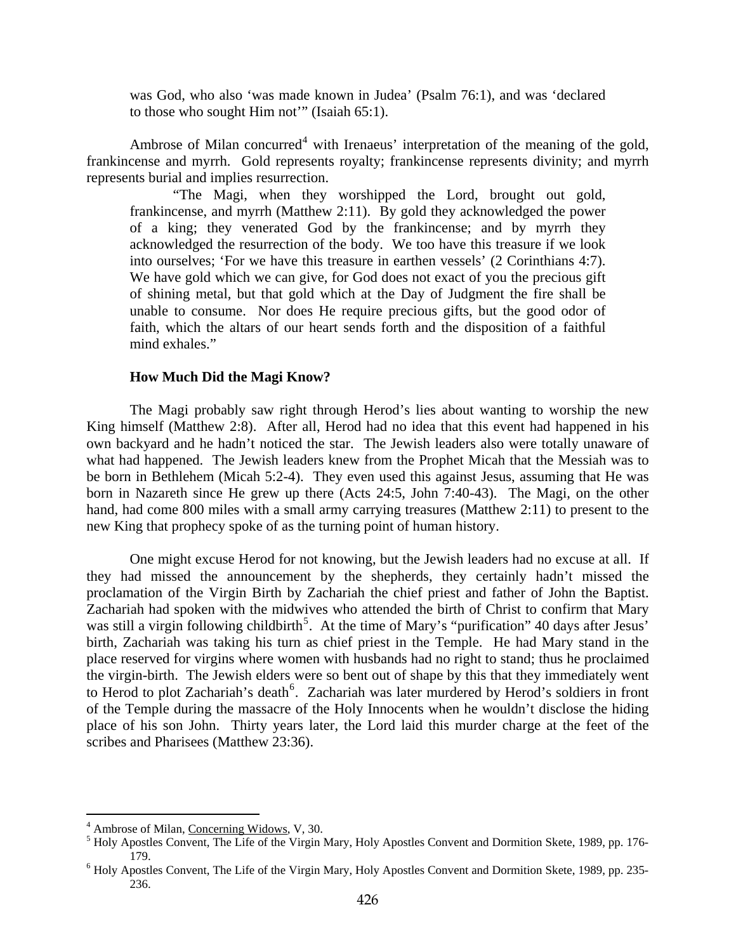<span id="page-3-0"></span>was God, who also 'was made known in Judea' (Psalm 76:1), and was 'declared to those who sought Him not'" (Isaiah 65:1).

Ambrose of Milan concurred<sup>[4](#page-3-1)</sup> with Irenaeus' interpretation of the meaning of the gold, frankincense and myrrh. Gold represents royalty; frankincense represents divinity; and myrrh represents burial and implies resurrection.

"The Magi, when they worshipped the Lord, brought out gold, frankincense, and myrrh (Matthew 2:11). By gold they acknowledged the power of a king; they venerated God by the frankincense; and by myrrh they acknowledged the resurrection of the body. We too have this treasure if we look into ourselves; 'For we have this treasure in earthen vessels' (2 Corinthians 4:7). We have gold which we can give, for God does not exact of you the precious gift of shining metal, but that gold which at the Day of Judgment the fire shall be unable to consume. Nor does He require precious gifts, but the good odor of faith, which the altars of our heart sends forth and the disposition of a faithful mind exhales."

#### **How Much Did the Magi Know?**

The Magi probably saw right through Herod's lies about wanting to worship the new King himself (Matthew 2:8). After all, Herod had no idea that this event had happened in his own backyard and he hadn't noticed the star. The Jewish leaders also were totally unaware of what had happened. The Jewish leaders knew from the Prophet Micah that the Messiah was to be born in Bethlehem (Micah 5:2-4). They even used this against Jesus, assuming that He was born in Nazareth since He grew up there (Acts 24:5, John 7:40-43). The Magi, on the other hand, had come 800 miles with a small army carrying treasures (Matthew 2:11) to present to the new King that prophecy spoke of as the turning point of human history.

One might excuse Herod for not knowing, but the Jewish leaders had no excuse at all. If they had missed the announcement by the shepherds, they certainly hadn't missed the proclamation of the Virgin Birth by Zachariah the chief priest and father of John the Baptist. Zachariah had spoken with the midwives who attended the birth of Christ to confirm that Mary was still a virgin following childbirth<sup>[5](#page-3-2)</sup>. At the time of Mary's "purification" 40 days after Jesus' birth, Zachariah was taking his turn as chief priest in the Temple. He had Mary stand in the place reserved for virgins where women with husbands had no right to stand; thus he proclaimed the virgin-birth. The Jewish elders were so bent out of shape by this that they immediately went to Herod to plot Zachariah's death<sup>[6](#page-3-3)</sup>. Zachariah was later murdered by Herod's soldiers in front of the Temple during the massacre of the Holy Innocents when he wouldn't disclose the hiding place of his son John. Thirty years later, the Lord laid this murder charge at the feet of the scribes and Pharisees (Matthew 23:36).

<span id="page-3-1"></span><sup>&</sup>lt;sup>4</sup> Ambrose of Milan, Concerning Widows, V, 30.

<span id="page-3-2"></span> $<sup>5</sup>$  Holy Apostles Convent, The Life of the Virgin Mary, Holy Apostles Convent and Dormition Skete, 1989, pp. 176-</sup> 179.<br><sup>6</sup> Holy Apostles Convent, The Life of the Virgin Mary, Holy Apostles Convent and Dormition Skete, 1989, pp. 235-

<span id="page-3-3"></span><sup>236.</sup>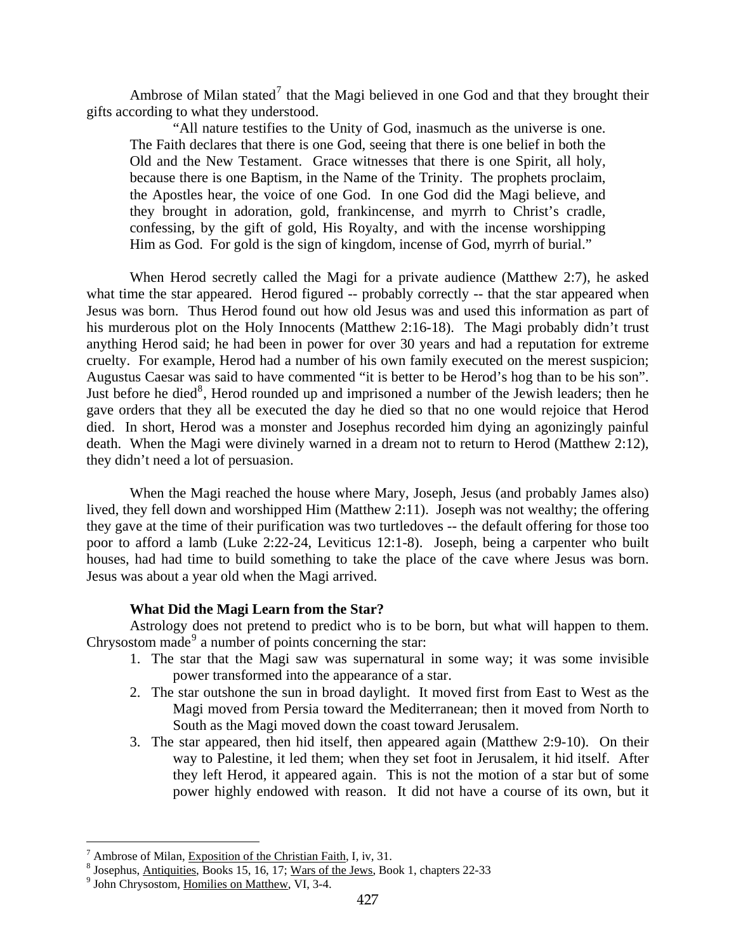<span id="page-4-0"></span>Ambrose of Milan stated<sup>[7](#page-4-1)</sup> that the Magi believed in one God and that they brought their gifts according to what they understood.

"All nature testifies to the Unity of God, inasmuch as the universe is one. The Faith declares that there is one God, seeing that there is one belief in both the Old and the New Testament. Grace witnesses that there is one Spirit, all holy, because there is one Baptism, in the Name of the Trinity. The prophets proclaim, the Apostles hear, the voice of one God. In one God did the Magi believe, and they brought in adoration, gold, frankincense, and myrrh to Christ's cradle, confessing, by the gift of gold, His Royalty, and with the incense worshipping Him as God. For gold is the sign of kingdom, incense of God, myrrh of burial."

When Herod secretly called the Magi for a private audience (Matthew 2:7), he asked what time the star appeared. Herod figured -- probably correctly -- that the star appeared when Jesus was born. Thus Herod found out how old Jesus was and used this information as part of his murderous plot on the Holy Innocents (Matthew 2:16-18). The Magi probably didn't trust anything Herod said; he had been in power for over 30 years and had a reputation for extreme cruelty. For example, Herod had a number of his own family executed on the merest suspicion; Augustus Caesar was said to have commented "it is better to be Herod's hog than to be his son". Just before he died<sup>[8](#page-4-2)</sup>, Herod rounded up and imprisoned a number of the Jewish leaders; then he gave orders that they all be executed the day he died so that no one would rejoice that Herod died. In short, Herod was a monster and Josephus recorded him dying an agonizingly painful death. When the Magi were divinely warned in a dream not to return to Herod (Matthew 2:12), they didn't need a lot of persuasion.

When the Magi reached the house where Mary, Joseph, Jesus (and probably James also) lived, they fell down and worshipped Him (Matthew 2:11). Joseph was not wealthy; the offering they gave at the time of their purification was two turtledoves -- the default offering for those too poor to afford a lamb (Luke 2:22-24, Leviticus 12:1-8). Joseph, being a carpenter who built houses, had had time to build something to take the place of the cave where Jesus was born. Jesus was about a year old when the Magi arrived.

## **What Did the Magi Learn from the Star?**

Astrology does not pretend to predict who is to be born, but what will happen to them. Chrysostom made<sup>[9](#page-4-3)</sup> a number of points concerning the star:

- 1. The star that the Magi saw was supernatural in some way; it was some invisible power transformed into the appearance of a star.
- 2. The star outshone the sun in broad daylight. It moved first from East to West as the Magi moved from Persia toward the Mediterranean; then it moved from North to South as the Magi moved down the coast toward Jerusalem.
- 3. The star appeared, then hid itself, then appeared again (Matthew 2:9-10). On their way to Palestine, it led them; when they set foot in Jerusalem, it hid itself. After they left Herod, it appeared again. This is not the motion of a star but of some power highly endowed with reason. It did not have a course of its own, but it

<span id="page-4-1"></span> $^7$  Ambrose of Milan, Exposition of the Christian Faith, I, iv, 31. Ambrose of Milan, Exposition of the Christian Faith, I, iv, 31.<br><sup>8</sup> Josephus, Antiquities, Books 15, 16, 17: Were of the Jaws, Boo

<span id="page-4-2"></span><sup>&</sup>lt;sup>8</sup> Josephus, <u>Antiquities</u>, Books 15, 16, 17; <u>Wars of the Jews</u>, Book 1, chapters 22-33

<span id="page-4-3"></span> $<sup>9</sup>$  John Chrysostom, Homilies on Matthew, VI, 3-4.</sup>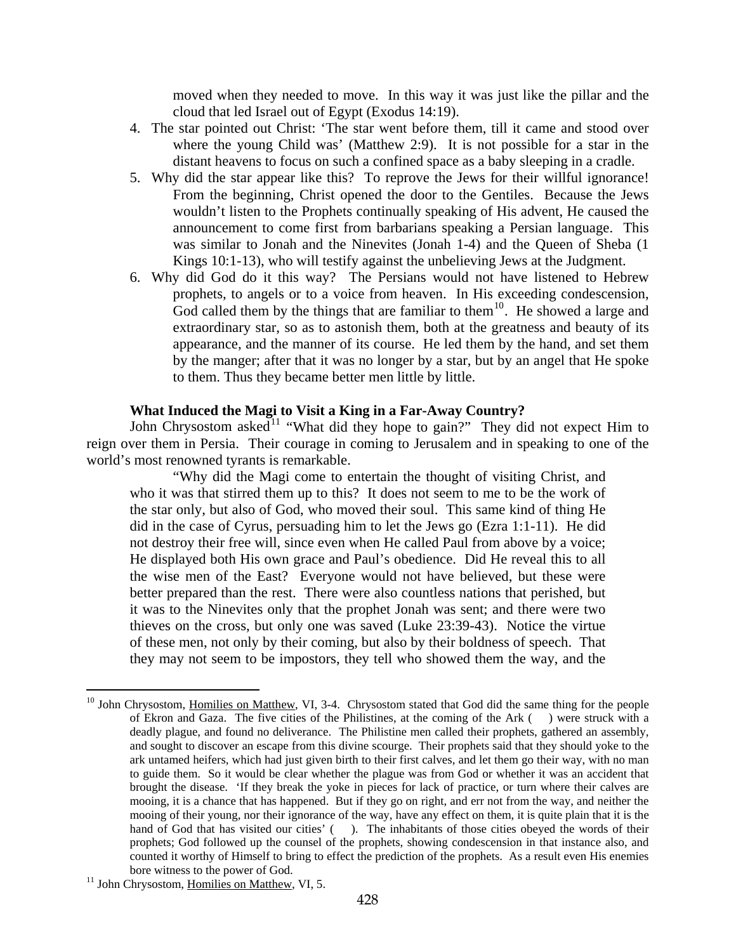moved when they needed to move. In this way it was just like the pillar and the cloud that led Israel out of Egypt (Exodus 14:19).

- <span id="page-5-0"></span>4. The star pointed out Christ: 'The star went before them, till it came and stood over where the young Child was' (Matthew 2:9). It is not possible for a star in the distant heavens to focus on such a confined space as a baby sleeping in a cradle.
- 5. Why did the star appear like this? To reprove the Jews for their willful ignorance! From the beginning, Christ opened the door to the Gentiles. Because the Jews wouldn't listen to the Prophets continually speaking of His advent, He caused the announcement to come first from barbarians speaking a Persian language. This was similar to Jonah and the Ninevites (Jonah 1-4) and the Queen of Sheba (1 Kings 10:1-13), who will testify against the unbelieving Jews at the Judgment.
- 6. Why did God do it this way? The Persians would not have listened to Hebrew prophets, to angels or to a voice from heaven. In His exceeding condescension, God called them by the things that are familiar to them<sup>[10](#page-5-1)</sup>. He showed a large and extraordinary star, so as to astonish them, both at the greatness and beauty of its appearance, and the manner of its course. He led them by the hand, and set them by the manger; after that it was no longer by a star, but by an angel that He spoke to them. Thus they became better men little by little.

# **What Induced the Magi to Visit a King in a Far-Away Country?**

John Chrysostom asked<sup>[11](#page-5-2)</sup> "What did they hope to gain?" They did not expect Him to reign over them in Persia. Their courage in coming to Jerusalem and in speaking to one of the world's most renowned tyrants is remarkable.

"Why did the Magi come to entertain the thought of visiting Christ, and who it was that stirred them up to this? It does not seem to me to be the work of the star only, but also of God, who moved their soul. This same kind of thing He did in the case of Cyrus, persuading him to let the Jews go (Ezra 1:1-11). He did not destroy their free will, since even when He called Paul from above by a voice; He displayed both His own grace and Paul's obedience. Did He reveal this to all the wise men of the East? Everyone would not have believed, but these were better prepared than the rest. There were also countless nations that perished, but it was to the Ninevites only that the prophet Jonah was sent; and there were two thieves on the cross, but only one was saved (Luke 23:39-43). Notice the virtue of these men, not only by their coming, but also by their boldness of speech. That they may not seem to be impostors, they tell who showed them the way, and the

<span id="page-5-1"></span><sup>&</sup>lt;sup>10</sup> John Chrysostom, Homilies on Matthew, VI, 3-4. Chrysostom stated that God did the same thing for the people of Ekron and Gaza. The five cities of the Philistines, at the coming of the Ark ( ) were struck with a deadly plague, and found no deliverance. The Philistine men called their prophets, gathered an assembly, and sought to discover an escape from this divine scourge. Their prophets said that they should yoke to the ark untamed heifers, which had just given birth to their first calves, and let them go their way, with no man to guide them. So it would be clear whether the plague was from God or whether it was an accident that brought the disease. 'If they break the yoke in pieces for lack of practice, or turn where their calves are mooing, it is a chance that has happened. But if they go on right, and err not from the way, and neither the mooing of their young, nor their ignorance of the way, have any effect on them, it is quite plain that it is the hand of God that has visited our cities' (). The inhabitants of those cities obeyed the words of their prophets; God followed up the counsel of the prophets, showing condescension in that instance also, and counted it worthy of Himself to bring to effect the prediction of the prophets. As a result even His enemies

<span id="page-5-2"></span>bore witness to the power of God.<br><sup>11</sup> John Chrysostom, <u>Homilies on Matthew</u>, VI, 5.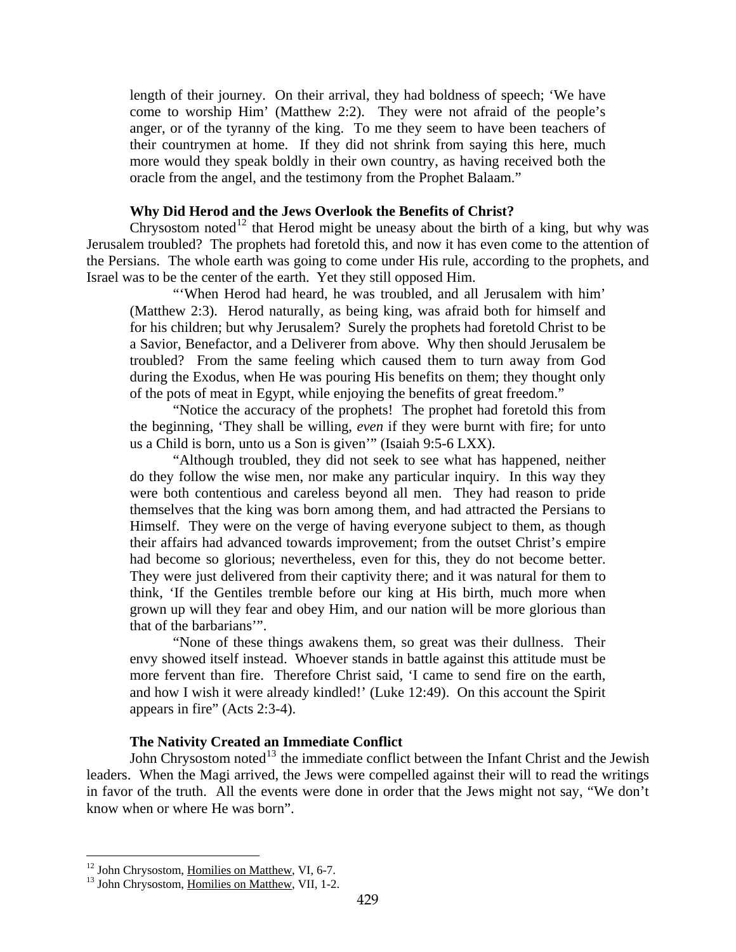<span id="page-6-0"></span>length of their journey. On their arrival, they had boldness of speech; 'We have come to worship Him' (Matthew 2:2). They were not afraid of the people's anger, or of the tyranny of the king. To me they seem to have been teachers of their countrymen at home. If they did not shrink from saying this here, much more would they speak boldly in their own country, as having received both the oracle from the angel, and the testimony from the Prophet Balaam."

### **Why Did Herod and the Jews Overlook the Benefits of Christ?**

Chrysostom noted<sup>[12](#page-6-1)</sup> that Herod might be uneasy about the birth of a king, but why was Jerusalem troubled? The prophets had foretold this, and now it has even come to the attention of the Persians. The whole earth was going to come under His rule, according to the prophets, and Israel was to be the center of the earth. Yet they still opposed Him.

"'When Herod had heard, he was troubled, and all Jerusalem with him' (Matthew 2:3). Herod naturally, as being king, was afraid both for himself and for his children; but why Jerusalem? Surely the prophets had foretold Christ to be a Savior, Benefactor, and a Deliverer from above. Why then should Jerusalem be troubled? From the same feeling which caused them to turn away from God during the Exodus, when He was pouring His benefits on them; they thought only of the pots of meat in Egypt, while enjoying the benefits of great freedom."

"Notice the accuracy of the prophets! The prophet had foretold this from the beginning, 'They shall be willing, *even* if they were burnt with fire; for unto us a Child is born, unto us a Son is given'" (Isaiah 9:5-6 LXX).

"Although troubled, they did not seek to see what has happened, neither do they follow the wise men, nor make any particular inquiry. In this way they were both contentious and careless beyond all men. They had reason to pride themselves that the king was born among them, and had attracted the Persians to Himself. They were on the verge of having everyone subject to them, as though their affairs had advanced towards improvement; from the outset Christ's empire had become so glorious; nevertheless, even for this, they do not become better. They were just delivered from their captivity there; and it was natural for them to think, 'If the Gentiles tremble before our king at His birth, much more when grown up will they fear and obey Him, and our nation will be more glorious than that of the barbarians'".

"None of these things awakens them, so great was their dullness. Their envy showed itself instead. Whoever stands in battle against this attitude must be more fervent than fire. Therefore Christ said, 'I came to send fire on the earth, and how I wish it were already kindled!' (Luke 12:49). On this account the Spirit appears in fire" (Acts 2:3-4).

## **The Nativity Created an Immediate Conflict**

John Chrysostom noted<sup>[13](#page-6-2)</sup> the immediate conflict between the Infant Christ and the Jewish leaders. When the Magi arrived, the Jews were compelled against their will to read the writings in favor of the truth. All the events were done in order that the Jews might not say, "We don't know when or where He was born".

<span id="page-6-1"></span><sup>&</sup>lt;sup>12</sup> John Chrysostom, Homilies on Matthew, VI, 6-7.

<span id="page-6-2"></span><sup>&</sup>lt;sup>13</sup> John Chrysostom, Homilies on Matthew, VII, 1-2.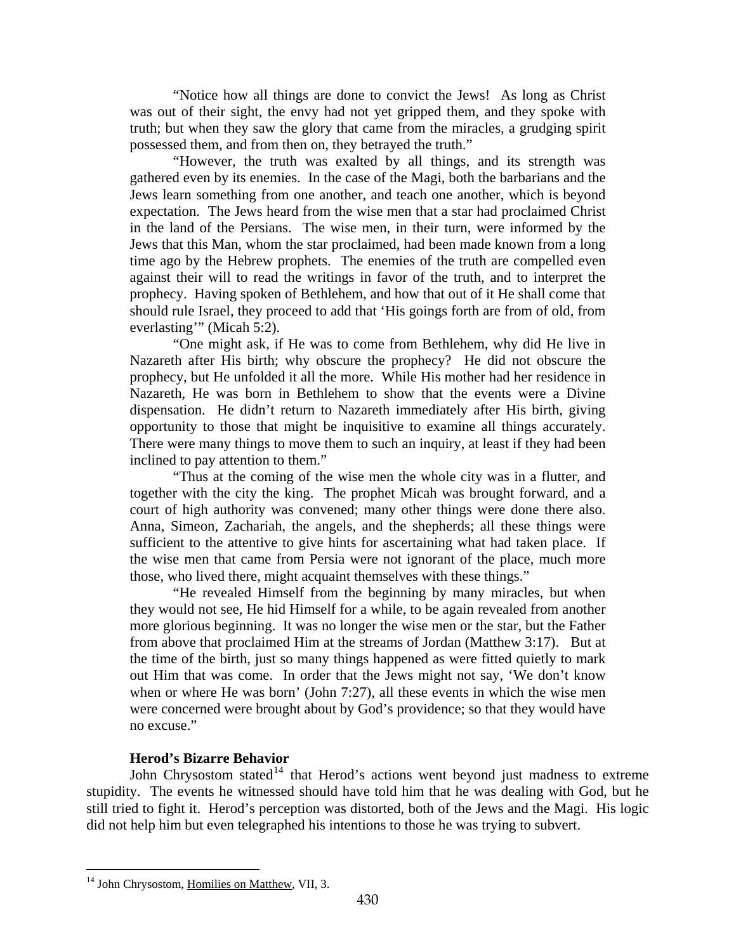<span id="page-7-0"></span>"Notice how all things are done to convict the Jews! As long as Christ was out of their sight, the envy had not yet gripped them, and they spoke with truth; but when they saw the glory that came from the miracles, a grudging spirit possessed them, and from then on, they betrayed the truth."

"However, the truth was exalted by all things, and its strength was gathered even by its enemies. In the case of the Magi, both the barbarians and the Jews learn something from one another, and teach one another, which is beyond expectation. The Jews heard from the wise men that a star had proclaimed Christ in the land of the Persians. The wise men, in their turn, were informed by the Jews that this Man, whom the star proclaimed, had been made known from a long time ago by the Hebrew prophets. The enemies of the truth are compelled even against their will to read the writings in favor of the truth, and to interpret the prophecy. Having spoken of Bethlehem, and how that out of it He shall come that should rule Israel, they proceed to add that 'His goings forth are from of old, from everlasting'" (Micah 5:2).

"One might ask, if He was to come from Bethlehem, why did He live in Nazareth after His birth; why obscure the prophecy? He did not obscure the prophecy, but He unfolded it all the more. While His mother had her residence in Nazareth, He was born in Bethlehem to show that the events were a Divine dispensation. He didn't return to Nazareth immediately after His birth, giving opportunity to those that might be inquisitive to examine all things accurately. There were many things to move them to such an inquiry, at least if they had been inclined to pay attention to them."

"Thus at the coming of the wise men the whole city was in a flutter, and together with the city the king. The prophet Micah was brought forward, and a court of high authority was convened; many other things were done there also. Anna, Simeon, Zachariah, the angels, and the shepherds; all these things were sufficient to the attentive to give hints for ascertaining what had taken place. If the wise men that came from Persia were not ignorant of the place, much more those, who lived there, might acquaint themselves with these things."

"He revealed Himself from the beginning by many miracles, but when they would not see, He hid Himself for a while, to be again revealed from another more glorious beginning. It was no longer the wise men or the star, but the Father from above that proclaimed Him at the streams of Jordan (Matthew 3:17). But at the time of the birth, just so many things happened as were fitted quietly to mark out Him that was come. In order that the Jews might not say, 'We don't know when or where He was born' (John 7:27), all these events in which the wise men were concerned were brought about by God's providence; so that they would have no excuse."

### **Herod's Bizarre Behavior**

John Chrysostom stated<sup>[14](#page-7-1)</sup> that Herod's actions went beyond just madness to extreme stupidity. The events he witnessed should have told him that he was dealing with God, but he still tried to fight it. Herod's perception was distorted, both of the Jews and the Magi. His logic did not help him but even telegraphed his intentions to those he was trying to subvert.

<span id="page-7-1"></span><sup>&</sup>lt;sup>14</sup> John Chrysostom, Homilies on Matthew, VII, 3.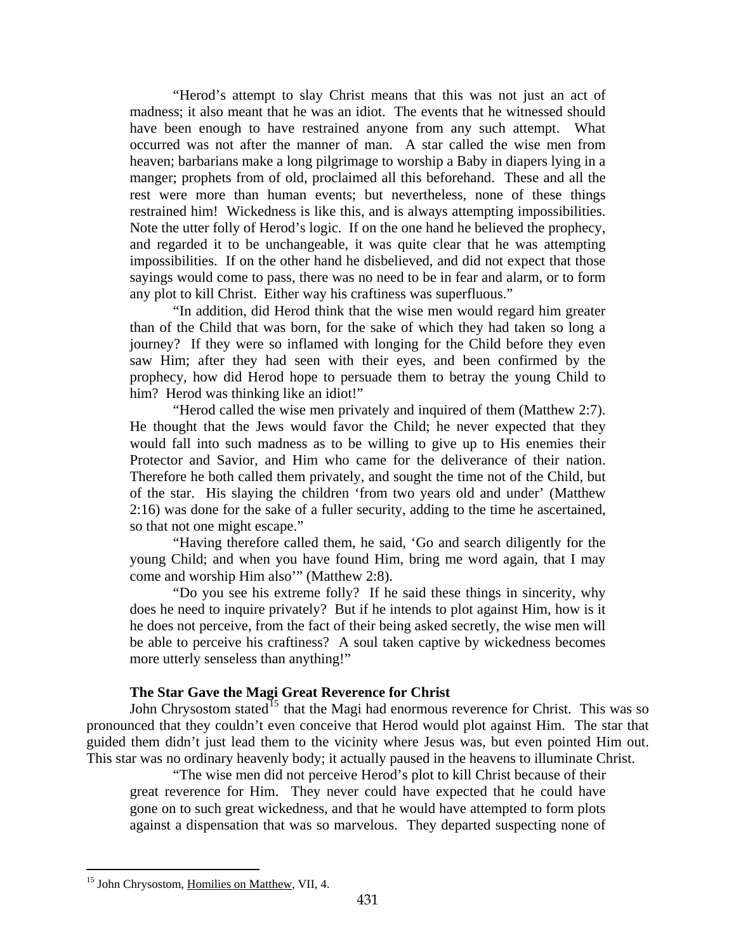<span id="page-8-0"></span>"Herod's attempt to slay Christ means that this was not just an act of madness; it also meant that he was an idiot. The events that he witnessed should have been enough to have restrained anyone from any such attempt. What occurred was not after the manner of man. A star called the wise men from heaven; barbarians make a long pilgrimage to worship a Baby in diapers lying in a manger; prophets from of old, proclaimed all this beforehand. These and all the rest were more than human events; but nevertheless, none of these things restrained him! Wickedness is like this, and is always attempting impossibilities. Note the utter folly of Herod's logic. If on the one hand he believed the prophecy, and regarded it to be unchangeable, it was quite clear that he was attempting impossibilities. If on the other hand he disbelieved, and did not expect that those sayings would come to pass, there was no need to be in fear and alarm, or to form any plot to kill Christ. Either way his craftiness was superfluous."

"In addition, did Herod think that the wise men would regard him greater than of the Child that was born, for the sake of which they had taken so long a journey? If they were so inflamed with longing for the Child before they even saw Him; after they had seen with their eyes, and been confirmed by the prophecy, how did Herod hope to persuade them to betray the young Child to him? Herod was thinking like an idiot!"

"Herod called the wise men privately and inquired of them (Matthew 2:7). He thought that the Jews would favor the Child; he never expected that they would fall into such madness as to be willing to give up to His enemies their Protector and Savior, and Him who came for the deliverance of their nation. Therefore he both called them privately, and sought the time not of the Child, but of the star. His slaying the children 'from two years old and under' (Matthew 2:16) was done for the sake of a fuller security, adding to the time he ascertained, so that not one might escape."

"Having therefore called them, he said, 'Go and search diligently for the young Child; and when you have found Him, bring me word again, that I may come and worship Him also'" (Matthew 2:8).

"Do you see his extreme folly? If he said these things in sincerity, why does he need to inquire privately? But if he intends to plot against Him, how is it he does not perceive, from the fact of their being asked secretly, the wise men will be able to perceive his craftiness? A soul taken captive by wickedness becomes more utterly senseless than anything!"

# **The Star Gave the Magi Great Reverence for Christ**

John Chrysostom stated<sup>[15](#page-8-1)</sup> that the Magi had enormous reverence for Christ. This was so pronounced that they couldn't even conceive that Herod would plot against Him. The star that guided them didn't just lead them to the vicinity where Jesus was, but even pointed Him out. This star was no ordinary heavenly body; it actually paused in the heavens to illuminate Christ.

"The wise men did not perceive Herod's plot to kill Christ because of their great reverence for Him. They never could have expected that he could have gone on to such great wickedness, and that he would have attempted to form plots against a dispensation that was so marvelous. They departed suspecting none of

<span id="page-8-1"></span><sup>15</sup> John Chrysostom, Homilies on Matthew, VII, 4.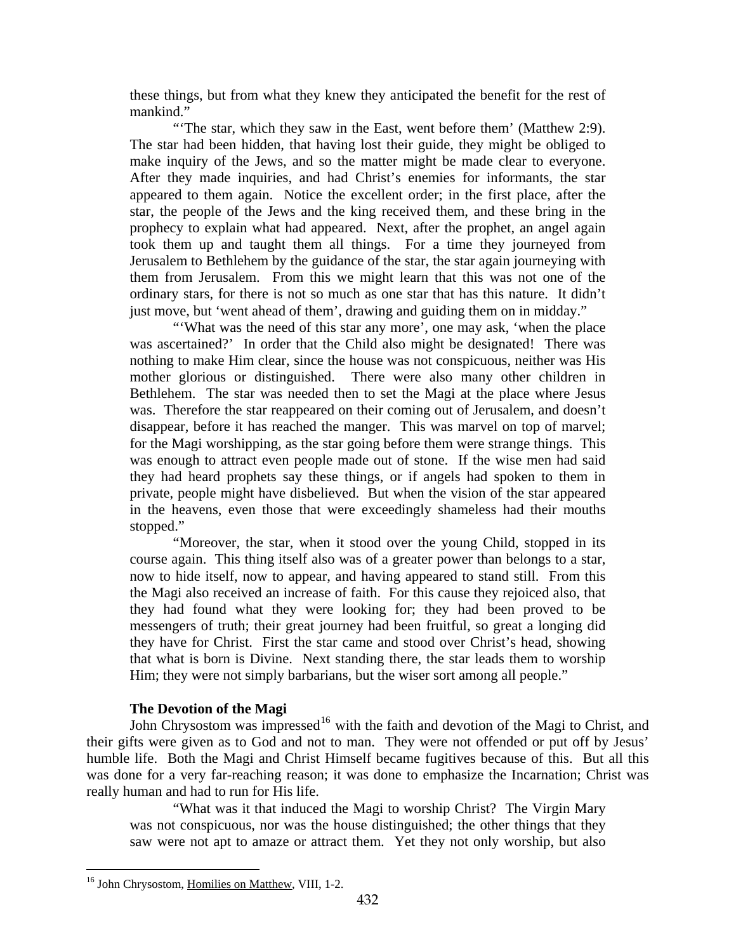<span id="page-9-0"></span>these things, but from what they knew they anticipated the benefit for the rest of mankind."

"'The star, which they saw in the East, went before them' (Matthew 2:9). The star had been hidden, that having lost their guide, they might be obliged to make inquiry of the Jews, and so the matter might be made clear to everyone. After they made inquiries, and had Christ's enemies for informants, the star appeared to them again. Notice the excellent order; in the first place, after the star, the people of the Jews and the king received them, and these bring in the prophecy to explain what had appeared. Next, after the prophet, an angel again took them up and taught them all things. For a time they journeyed from Jerusalem to Bethlehem by the guidance of the star, the star again journeying with them from Jerusalem. From this we might learn that this was not one of the ordinary stars, for there is not so much as one star that has this nature. It didn't just move, but 'went ahead of them', drawing and guiding them on in midday."

"What was the need of this star any more', one may ask, 'when the place was ascertained?' In order that the Child also might be designated! There was nothing to make Him clear, since the house was not conspicuous, neither was His mother glorious or distinguished. There were also many other children in Bethlehem. The star was needed then to set the Magi at the place where Jesus was. Therefore the star reappeared on their coming out of Jerusalem, and doesn't disappear, before it has reached the manger. This was marvel on top of marvel; for the Magi worshipping, as the star going before them were strange things. This was enough to attract even people made out of stone. If the wise men had said they had heard prophets say these things, or if angels had spoken to them in private, people might have disbelieved. But when the vision of the star appeared in the heavens, even those that were exceedingly shameless had their mouths stopped."

"Moreover, the star, when it stood over the young Child, stopped in its course again. This thing itself also was of a greater power than belongs to a star, now to hide itself, now to appear, and having appeared to stand still. From this the Magi also received an increase of faith. For this cause they rejoiced also, that they had found what they were looking for; they had been proved to be messengers of truth; their great journey had been fruitful, so great a longing did they have for Christ. First the star came and stood over Christ's head, showing that what is born is Divine. Next standing there, the star leads them to worship Him; they were not simply barbarians, but the wiser sort among all people."

#### **The Devotion of the Magi**

John Chrysostom was impressed<sup>[16](#page-9-1)</sup> with the faith and devotion of the Magi to Christ, and their gifts were given as to God and not to man. They were not offended or put off by Jesus' humble life. Both the Magi and Christ Himself became fugitives because of this. But all this was done for a very far-reaching reason; it was done to emphasize the Incarnation; Christ was really human and had to run for His life.

"What was it that induced the Magi to worship Christ? The Virgin Mary was not conspicuous, nor was the house distinguished; the other things that they saw were not apt to amaze or attract them. Yet they not only worship, but also

<span id="page-9-1"></span><sup>16</sup> John Chrysostom, Homilies on Matthew, VIII, 1-2.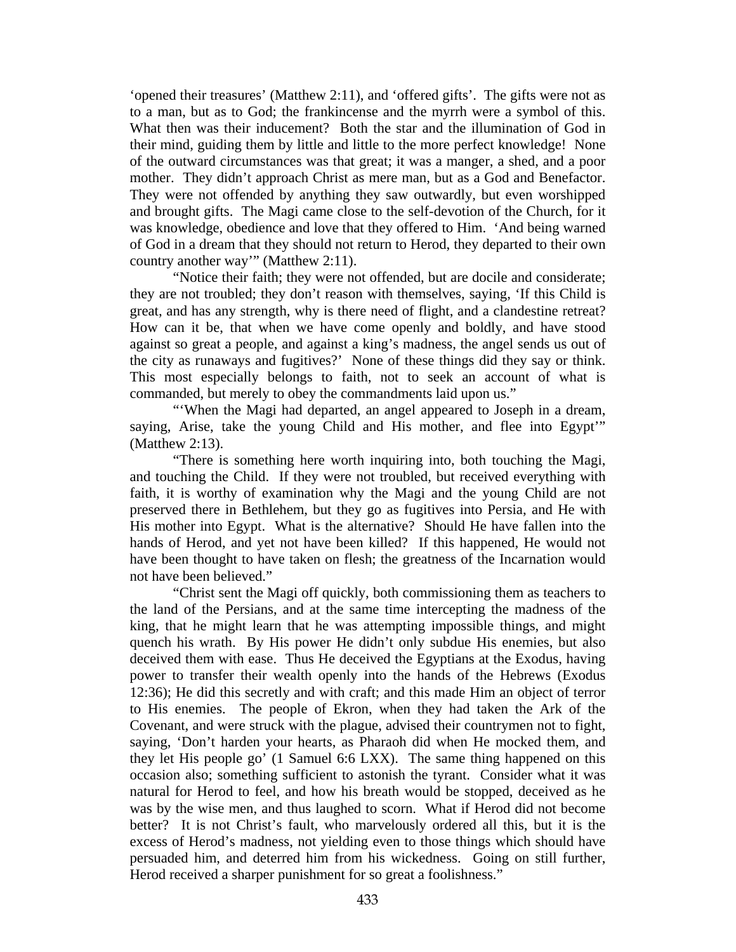'opened their treasures' (Matthew 2:11), and 'offered gifts'. The gifts were not as to a man, but as to God; the frankincense and the myrrh were a symbol of this. What then was their inducement? Both the star and the illumination of God in their mind, guiding them by little and little to the more perfect knowledge! None of the outward circumstances was that great; it was a manger, a shed, and a poor mother. They didn't approach Christ as mere man, but as a God and Benefactor. They were not offended by anything they saw outwardly, but even worshipped and brought gifts. The Magi came close to the self-devotion of the Church, for it was knowledge, obedience and love that they offered to Him. 'And being warned of God in a dream that they should not return to Herod, they departed to their own country another way'" (Matthew 2:11).

"Notice their faith; they were not offended, but are docile and considerate; they are not troubled; they don't reason with themselves, saying, 'If this Child is great, and has any strength, why is there need of flight, and a clandestine retreat? How can it be, that when we have come openly and boldly, and have stood against so great a people, and against a king's madness, the angel sends us out of the city as runaways and fugitives?' None of these things did they say or think. This most especially belongs to faith, not to seek an account of what is commanded, but merely to obey the commandments laid upon us."

"'When the Magi had departed, an angel appeared to Joseph in a dream, saying, Arise, take the young Child and His mother, and flee into Egypt" (Matthew 2:13).

"There is something here worth inquiring into, both touching the Magi, and touching the Child. If they were not troubled, but received everything with faith, it is worthy of examination why the Magi and the young Child are not preserved there in Bethlehem, but they go as fugitives into Persia, and He with His mother into Egypt. What is the alternative? Should He have fallen into the hands of Herod, and yet not have been killed? If this happened, He would not have been thought to have taken on flesh; the greatness of the Incarnation would not have been believed."

"Christ sent the Magi off quickly, both commissioning them as teachers to the land of the Persians, and at the same time intercepting the madness of the king, that he might learn that he was attempting impossible things, and might quench his wrath. By His power He didn't only subdue His enemies, but also deceived them with ease. Thus He deceived the Egyptians at the Exodus, having power to transfer their wealth openly into the hands of the Hebrews (Exodus 12:36); He did this secretly and with craft; and this made Him an object of terror to His enemies. The people of Ekron, when they had taken the Ark of the Covenant, and were struck with the plague, advised their countrymen not to fight, saying, 'Don't harden your hearts, as Pharaoh did when He mocked them, and they let His people go' (1 Samuel 6:6 LXX). The same thing happened on this occasion also; something sufficient to astonish the tyrant. Consider what it was natural for Herod to feel, and how his breath would be stopped, deceived as he was by the wise men, and thus laughed to scorn. What if Herod did not become better? It is not Christ's fault, who marvelously ordered all this, but it is the excess of Herod's madness, not yielding even to those things which should have persuaded him, and deterred him from his wickedness. Going on still further, Herod received a sharper punishment for so great a foolishness."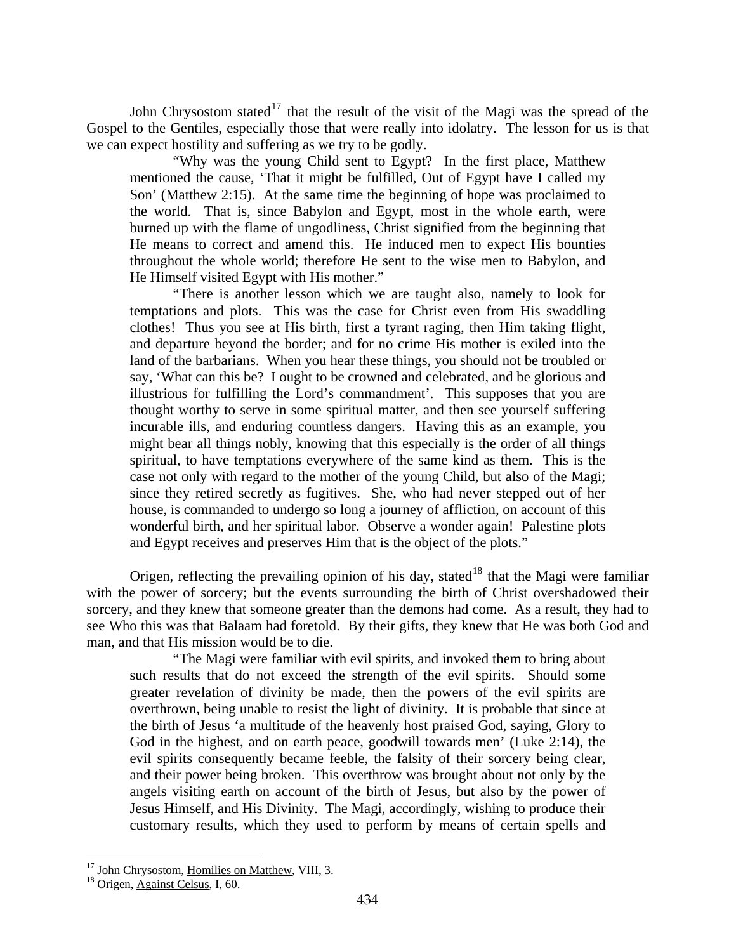John Chrysostom stated<sup>[17](#page-11-0)</sup> that the result of the visit of the Magi was the spread of the Gospel to the Gentiles, especially those that were really into idolatry. The lesson for us is that we can expect hostility and suffering as we try to be godly.

"Why was the young Child sent to Egypt? In the first place, Matthew mentioned the cause, 'That it might be fulfilled, Out of Egypt have I called my Son' (Matthew 2:15). At the same time the beginning of hope was proclaimed to the world. That is, since Babylon and Egypt, most in the whole earth, were burned up with the flame of ungodliness, Christ signified from the beginning that He means to correct and amend this. He induced men to expect His bounties throughout the whole world; therefore He sent to the wise men to Babylon, and He Himself visited Egypt with His mother."

"There is another lesson which we are taught also, namely to look for temptations and plots. This was the case for Christ even from His swaddling clothes! Thus you see at His birth, first a tyrant raging, then Him taking flight, and departure beyond the border; and for no crime His mother is exiled into the land of the barbarians. When you hear these things, you should not be troubled or say, 'What can this be? I ought to be crowned and celebrated, and be glorious and illustrious for fulfilling the Lord's commandment'. This supposes that you are thought worthy to serve in some spiritual matter, and then see yourself suffering incurable ills, and enduring countless dangers. Having this as an example, you might bear all things nobly, knowing that this especially is the order of all things spiritual, to have temptations everywhere of the same kind as them. This is the case not only with regard to the mother of the young Child, but also of the Magi; since they retired secretly as fugitives. She, who had never stepped out of her house, is commanded to undergo so long a journey of affliction, on account of this wonderful birth, and her spiritual labor. Observe a wonder again! Palestine plots and Egypt receives and preserves Him that is the object of the plots."

Origen, reflecting the prevailing opinion of his day, stated<sup>[18](#page-11-1)</sup> that the Magi were familiar with the power of sorcery; but the events surrounding the birth of Christ overshadowed their sorcery, and they knew that someone greater than the demons had come. As a result, they had to see Who this was that Balaam had foretold. By their gifts, they knew that He was both God and man, and that His mission would be to die.

"The Magi were familiar with evil spirits, and invoked them to bring about such results that do not exceed the strength of the evil spirits. Should some greater revelation of divinity be made, then the powers of the evil spirits are overthrown, being unable to resist the light of divinity. It is probable that since at the birth of Jesus 'a multitude of the heavenly host praised God, saying, Glory to God in the highest, and on earth peace, goodwill towards men' (Luke 2:14), the evil spirits consequently became feeble, the falsity of their sorcery being clear, and their power being broken. This overthrow was brought about not only by the angels visiting earth on account of the birth of Jesus, but also by the power of Jesus Himself, and His Divinity. The Magi, accordingly, wishing to produce their customary results, which they used to perform by means of certain spells and

<span id="page-11-0"></span><sup>&</sup>lt;sup>17</sup> John Chrysostom, <u>Homilies on Matthew</u>, VIII, 3.<br><sup>18</sup> Origen, Against Celsus, I, 60.

<span id="page-11-1"></span>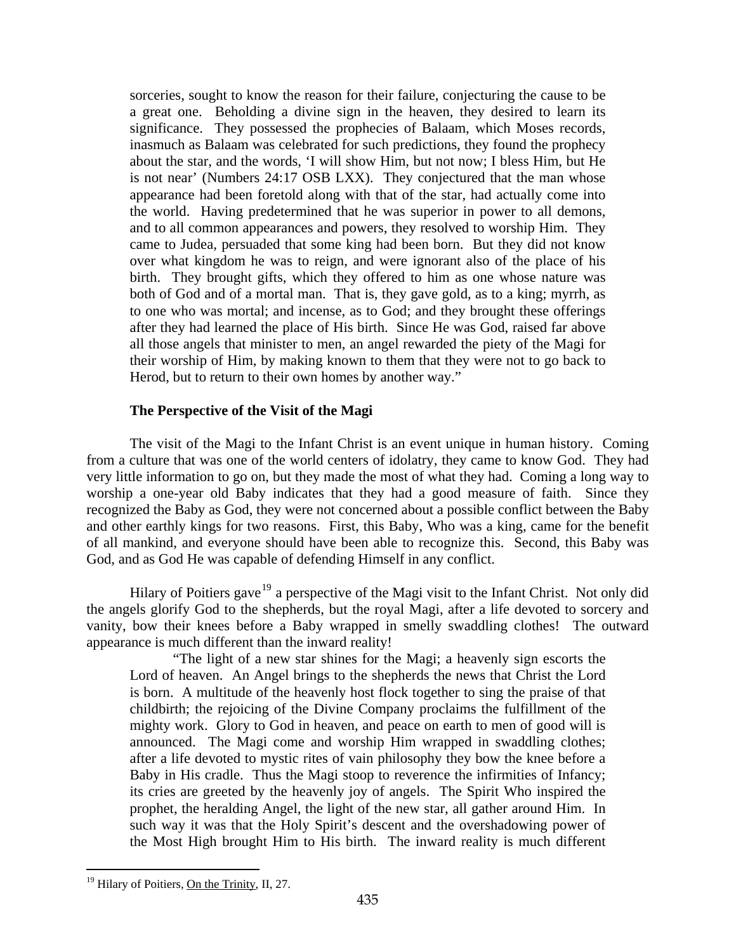<span id="page-12-0"></span>sorceries, sought to know the reason for their failure, conjecturing the cause to be a great one. Beholding a divine sign in the heaven, they desired to learn its significance. They possessed the prophecies of Balaam, which Moses records, inasmuch as Balaam was celebrated for such predictions, they found the prophecy about the star, and the words, 'I will show Him, but not now; I bless Him, but He is not near' (Numbers 24:17 OSB LXX). They conjectured that the man whose appearance had been foretold along with that of the star, had actually come into the world. Having predetermined that he was superior in power to all demons, and to all common appearances and powers, they resolved to worship Him. They came to Judea, persuaded that some king had been born. But they did not know over what kingdom he was to reign, and were ignorant also of the place of his birth. They brought gifts, which they offered to him as one whose nature was both of God and of a mortal man. That is, they gave gold, as to a king; myrrh, as to one who was mortal; and incense, as to God; and they brought these offerings after they had learned the place of His birth. Since He was God, raised far above all those angels that minister to men, an angel rewarded the piety of the Magi for their worship of Him, by making known to them that they were not to go back to Herod, but to return to their own homes by another way."

## **The Perspective of the Visit of the Magi**

The visit of the Magi to the Infant Christ is an event unique in human history. Coming from a culture that was one of the world centers of idolatry, they came to know God. They had very little information to go on, but they made the most of what they had. Coming a long way to worship a one-year old Baby indicates that they had a good measure of faith. Since they recognized the Baby as God, they were not concerned about a possible conflict between the Baby and other earthly kings for two reasons. First, this Baby, Who was a king, came for the benefit of all mankind, and everyone should have been able to recognize this. Second, this Baby was God, and as God He was capable of defending Himself in any conflict.

Hilary of Poitiers gave<sup>[19](#page-12-1)</sup> a perspective of the Magi visit to the Infant Christ. Not only did the angels glorify God to the shepherds, but the royal Magi, after a life devoted to sorcery and vanity, bow their knees before a Baby wrapped in smelly swaddling clothes! The outward appearance is much different than the inward reality!

"The light of a new star shines for the Magi; a heavenly sign escorts the Lord of heaven. An Angel brings to the shepherds the news that Christ the Lord is born. A multitude of the heavenly host flock together to sing the praise of that childbirth; the rejoicing of the Divine Company proclaims the fulfillment of the mighty work. Glory to God in heaven, and peace on earth to men of good will is announced. The Magi come and worship Him wrapped in swaddling clothes; after a life devoted to mystic rites of vain philosophy they bow the knee before a Baby in His cradle. Thus the Magi stoop to reverence the infirmities of Infancy; its cries are greeted by the heavenly joy of angels. The Spirit Who inspired the prophet, the heralding Angel, the light of the new star, all gather around Him. In such way it was that the Holy Spirit's descent and the overshadowing power of the Most High brought Him to His birth. The inward reality is much different

<span id="page-12-1"></span><sup>&</sup>lt;sup>19</sup> Hilary of Poitiers, On the Trinity, II, 27.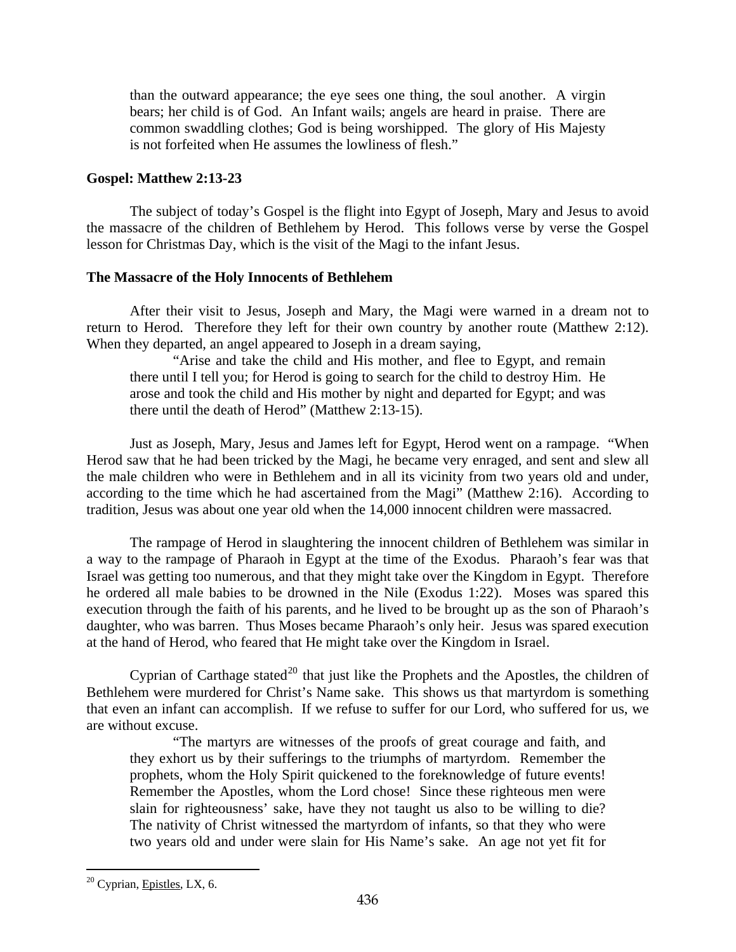<span id="page-13-0"></span>than the outward appearance; the eye sees one thing, the soul another. A virgin bears; her child is of God. An Infant wails; angels are heard in praise. There are common swaddling clothes; God is being worshipped. The glory of His Majesty is not forfeited when He assumes the lowliness of flesh."

#### **Gospel: Matthew 2:13-23**

The subject of today's Gospel is the flight into Egypt of Joseph, Mary and Jesus to avoid the massacre of the children of Bethlehem by Herod. This follows verse by verse the Gospel lesson for Christmas Day, which is the visit of the Magi to the infant Jesus.

## **The Massacre of the Holy Innocents of Bethlehem**

After their visit to Jesus, Joseph and Mary, the Magi were warned in a dream not to return to Herod. Therefore they left for their own country by another route (Matthew 2:12). When they departed, an angel appeared to Joseph in a dream saying,

"Arise and take the child and His mother, and flee to Egypt, and remain there until I tell you; for Herod is going to search for the child to destroy Him. He arose and took the child and His mother by night and departed for Egypt; and was there until the death of Herod" (Matthew 2:13-15).

Just as Joseph, Mary, Jesus and James left for Egypt, Herod went on a rampage. "When Herod saw that he had been tricked by the Magi, he became very enraged, and sent and slew all the male children who were in Bethlehem and in all its vicinity from two years old and under, according to the time which he had ascertained from the Magi" (Matthew 2:16). According to tradition, Jesus was about one year old when the 14,000 innocent children were massacred.

The rampage of Herod in slaughtering the innocent children of Bethlehem was similar in a way to the rampage of Pharaoh in Egypt at the time of the Exodus. Pharaoh's fear was that Israel was getting too numerous, and that they might take over the Kingdom in Egypt. Therefore he ordered all male babies to be drowned in the Nile (Exodus 1:22). Moses was spared this execution through the faith of his parents, and he lived to be brought up as the son of Pharaoh's daughter, who was barren. Thus Moses became Pharaoh's only heir. Jesus was spared execution at the hand of Herod, who feared that He might take over the Kingdom in Israel.

Cyprian of Carthage stated<sup>[20](#page-13-1)</sup> that just like the Prophets and the Apostles, the children of Bethlehem were murdered for Christ's Name sake. This shows us that martyrdom is something that even an infant can accomplish. If we refuse to suffer for our Lord, who suffered for us, we are without excuse.

"The martyrs are witnesses of the proofs of great courage and faith, and they exhort us by their sufferings to the triumphs of martyrdom. Remember the prophets, whom the Holy Spirit quickened to the foreknowledge of future events! Remember the Apostles, whom the Lord chose! Since these righteous men were slain for righteousness' sake, have they not taught us also to be willing to die? The nativity of Christ witnessed the martyrdom of infants, so that they who were two years old and under were slain for His Name's sake. An age not yet fit for

<span id="page-13-1"></span> $20$  Cyprian, Epistles, LX, 6.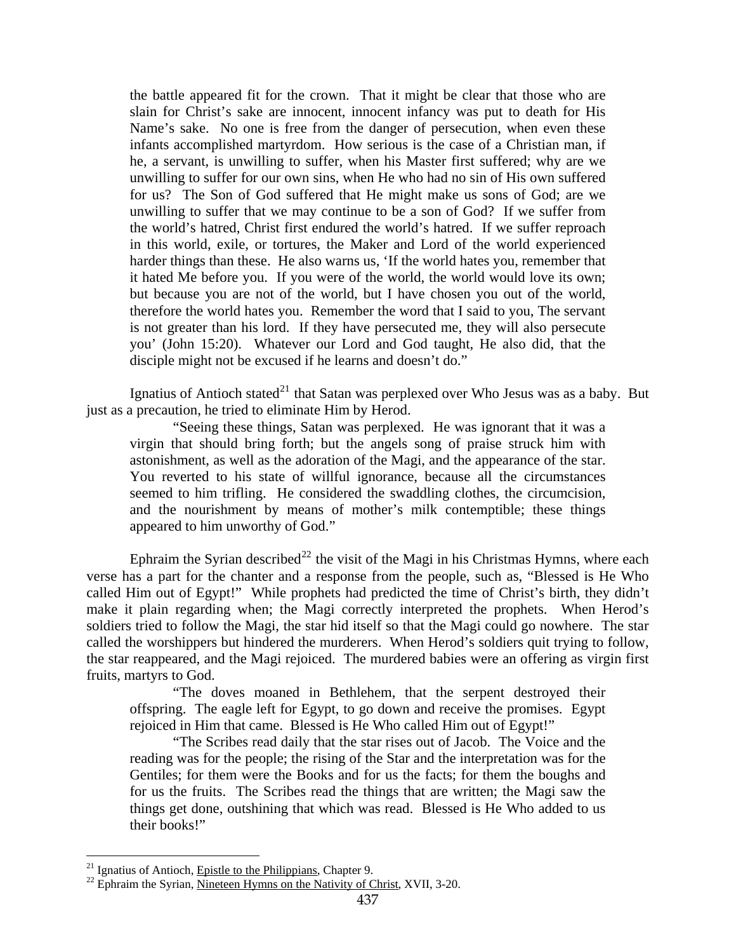the battle appeared fit for the crown. That it might be clear that those who are slain for Christ's sake are innocent, innocent infancy was put to death for His Name's sake. No one is free from the danger of persecution, when even these infants accomplished martyrdom. How serious is the case of a Christian man, if he, a servant, is unwilling to suffer, when his Master first suffered; why are we unwilling to suffer for our own sins, when He who had no sin of His own suffered for us? The Son of God suffered that He might make us sons of God; are we unwilling to suffer that we may continue to be a son of God? If we suffer from the world's hatred, Christ first endured the world's hatred. If we suffer reproach in this world, exile, or tortures, the Maker and Lord of the world experienced harder things than these. He also warns us, 'If the world hates you, remember that it hated Me before you. If you were of the world, the world would love its own; but because you are not of the world, but I have chosen you out of the world, therefore the world hates you. Remember the word that I said to you, The servant is not greater than his lord. If they have persecuted me, they will also persecute you' (John 15:20). Whatever our Lord and God taught, He also did, that the disciple might not be excused if he learns and doesn't do."

Ignatius of Antioch stated<sup>[21](#page-14-0)</sup> that Satan was perplexed over Who Jesus was as a baby. But just as a precaution, he tried to eliminate Him by Herod.

"Seeing these things, Satan was perplexed. He was ignorant that it was a virgin that should bring forth; but the angels song of praise struck him with astonishment, as well as the adoration of the Magi, and the appearance of the star. You reverted to his state of willful ignorance, because all the circumstances seemed to him trifling. He considered the swaddling clothes, the circumcision, and the nourishment by means of mother's milk contemptible; these things appeared to him unworthy of God."

Ephraim the Syrian described<sup>[22](#page-14-1)</sup> the visit of the Magi in his Christmas Hymns, where each verse has a part for the chanter and a response from the people, such as, "Blessed is He Who called Him out of Egypt!" While prophets had predicted the time of Christ's birth, they didn't make it plain regarding when; the Magi correctly interpreted the prophets. When Herod's soldiers tried to follow the Magi, the star hid itself so that the Magi could go nowhere. The star called the worshippers but hindered the murderers. When Herod's soldiers quit trying to follow, the star reappeared, and the Magi rejoiced. The murdered babies were an offering as virgin first fruits, martyrs to God.

"The doves moaned in Bethlehem, that the serpent destroyed their offspring. The eagle left for Egypt, to go down and receive the promises. Egypt rejoiced in Him that came. Blessed is He Who called Him out of Egypt!"

"The Scribes read daily that the star rises out of Jacob. The Voice and the reading was for the people; the rising of the Star and the interpretation was for the Gentiles; for them were the Books and for us the facts; for them the boughs and for us the fruits. The Scribes read the things that are written; the Magi saw the things get done, outshining that which was read. Blessed is He Who added to us their books!"

<span id="page-14-1"></span><span id="page-14-0"></span><sup>&</sup>lt;sup>21</sup> Ignatius of Antioch, *Epistle to the Philippians*, Chapter 9.<br><sup>22</sup> Ephraim the Syrian, <u>Nineteen Hymns on the Nativity of Christ</u>, XVII, 3-20.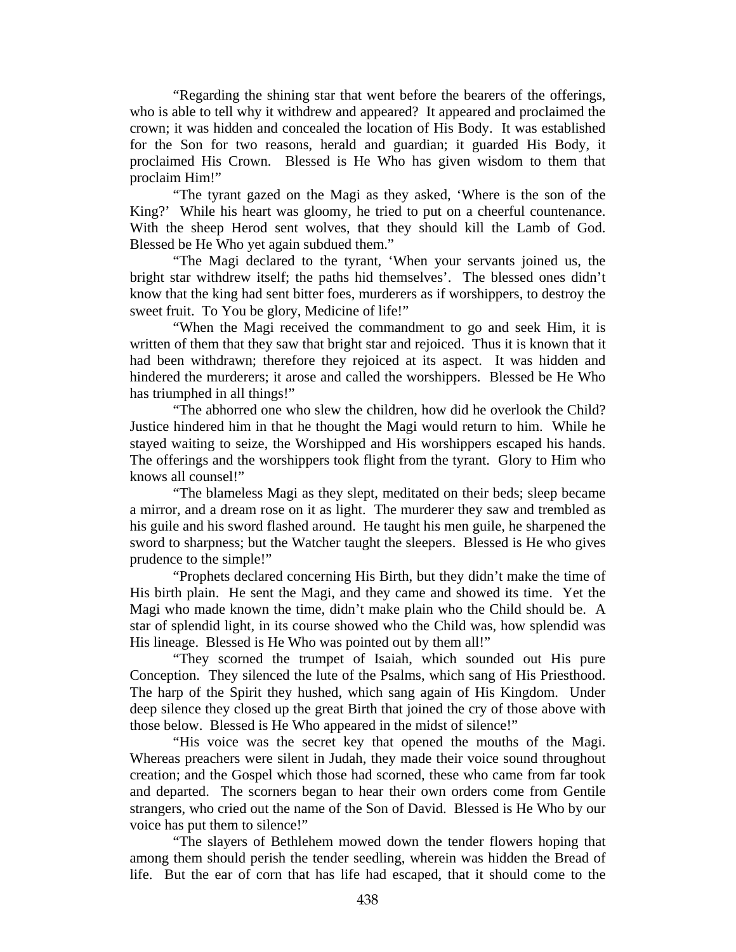"Regarding the shining star that went before the bearers of the offerings, who is able to tell why it withdrew and appeared? It appeared and proclaimed the crown; it was hidden and concealed the location of His Body. It was established for the Son for two reasons, herald and guardian; it guarded His Body, it proclaimed His Crown. Blessed is He Who has given wisdom to them that proclaim Him!"

"The tyrant gazed on the Magi as they asked, 'Where is the son of the King?' While his heart was gloomy, he tried to put on a cheerful countenance. With the sheep Herod sent wolves, that they should kill the Lamb of God. Blessed be He Who yet again subdued them."

"The Magi declared to the tyrant, 'When your servants joined us, the bright star withdrew itself; the paths hid themselves'. The blessed ones didn't know that the king had sent bitter foes, murderers as if worshippers, to destroy the sweet fruit. To You be glory, Medicine of life!"

"When the Magi received the commandment to go and seek Him, it is written of them that they saw that bright star and rejoiced. Thus it is known that it had been withdrawn; therefore they rejoiced at its aspect. It was hidden and hindered the murderers; it arose and called the worshippers. Blessed be He Who has triumphed in all things!"

"The abhorred one who slew the children, how did he overlook the Child? Justice hindered him in that he thought the Magi would return to him. While he stayed waiting to seize, the Worshipped and His worshippers escaped his hands. The offerings and the worshippers took flight from the tyrant. Glory to Him who knows all counsel!"

"The blameless Magi as they slept, meditated on their beds; sleep became a mirror, and a dream rose on it as light. The murderer they saw and trembled as his guile and his sword flashed around. He taught his men guile, he sharpened the sword to sharpness; but the Watcher taught the sleepers. Blessed is He who gives prudence to the simple!"

"Prophets declared concerning His Birth, but they didn't make the time of His birth plain. He sent the Magi, and they came and showed its time. Yet the Magi who made known the time, didn't make plain who the Child should be. A star of splendid light, in its course showed who the Child was, how splendid was His lineage. Blessed is He Who was pointed out by them all!"

"They scorned the trumpet of Isaiah, which sounded out His pure Conception. They silenced the lute of the Psalms, which sang of His Priesthood. The harp of the Spirit they hushed, which sang again of His Kingdom. Under deep silence they closed up the great Birth that joined the cry of those above with those below. Blessed is He Who appeared in the midst of silence!"

"His voice was the secret key that opened the mouths of the Magi. Whereas preachers were silent in Judah, they made their voice sound throughout creation; and the Gospel which those had scorned, these who came from far took and departed. The scorners began to hear their own orders come from Gentile strangers, who cried out the name of the Son of David. Blessed is He Who by our voice has put them to silence!"

"The slayers of Bethlehem mowed down the tender flowers hoping that among them should perish the tender seedling, wherein was hidden the Bread of life. But the ear of corn that has life had escaped, that it should come to the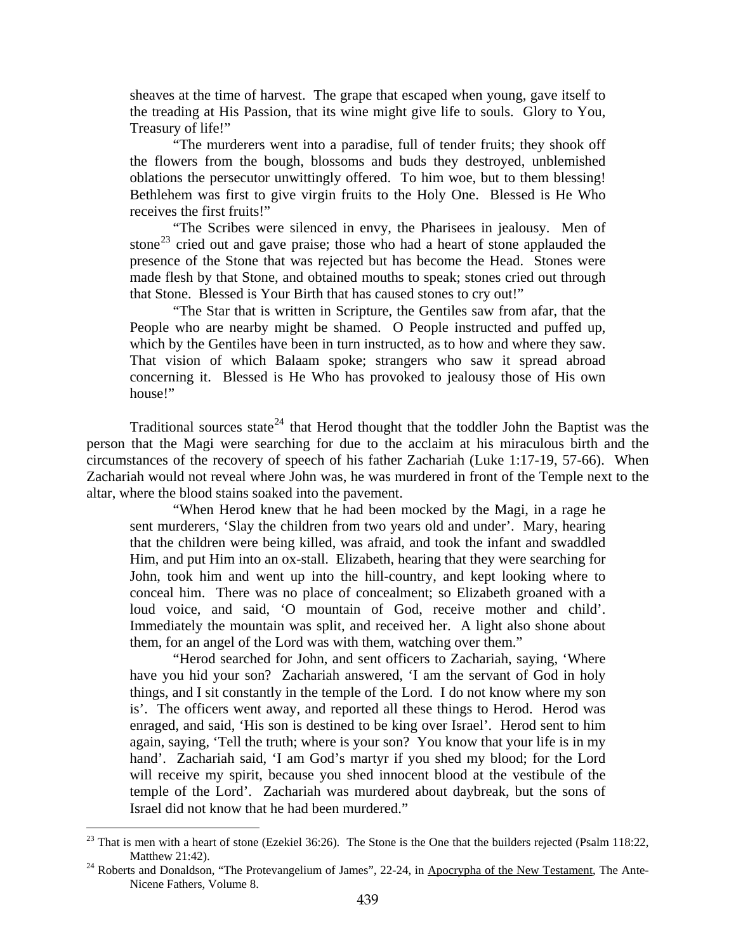sheaves at the time of harvest. The grape that escaped when young, gave itself to the treading at His Passion, that its wine might give life to souls. Glory to You, Treasury of life!"

"The murderers went into a paradise, full of tender fruits; they shook off the flowers from the bough, blossoms and buds they destroyed, unblemished oblations the persecutor unwittingly offered. To him woe, but to them blessing! Bethlehem was first to give virgin fruits to the Holy One. Blessed is He Who receives the first fruits!"

"The Scribes were silenced in envy, the Pharisees in jealousy. Men of stone<sup>[23](#page-16-0)</sup> cried out and gave praise; those who had a heart of stone applauded the presence of the Stone that was rejected but has become the Head. Stones were made flesh by that Stone, and obtained mouths to speak; stones cried out through that Stone. Blessed is Your Birth that has caused stones to cry out!"

"The Star that is written in Scripture, the Gentiles saw from afar, that the People who are nearby might be shamed. O People instructed and puffed up, which by the Gentiles have been in turn instructed, as to how and where they saw. That vision of which Balaam spoke; strangers who saw it spread abroad concerning it. Blessed is He Who has provoked to jealousy those of His own house!"

Traditional sources state<sup>[24](#page-16-1)</sup> that Herod thought that the toddler John the Baptist was the person that the Magi were searching for due to the acclaim at his miraculous birth and the circumstances of the recovery of speech of his father Zachariah (Luke 1:17-19, 57-66). When Zachariah would not reveal where John was, he was murdered in front of the Temple next to the altar, where the blood stains soaked into the pavement.

"When Herod knew that he had been mocked by the Magi, in a rage he sent murderers, 'Slay the children from two years old and under'. Mary, hearing that the children were being killed, was afraid, and took the infant and swaddled Him, and put Him into an ox-stall. Elizabeth, hearing that they were searching for John, took him and went up into the hill-country, and kept looking where to conceal him. There was no place of concealment; so Elizabeth groaned with a loud voice, and said, 'O mountain of God, receive mother and child'. Immediately the mountain was split, and received her. A light also shone about them, for an angel of the Lord was with them, watching over them."

"Herod searched for John, and sent officers to Zachariah, saying, 'Where have you hid your son? Zachariah answered, 'I am the servant of God in holy things, and I sit constantly in the temple of the Lord. I do not know where my son is'. The officers went away, and reported all these things to Herod. Herod was enraged, and said, 'His son is destined to be king over Israel'. Herod sent to him again, saying, 'Tell the truth; where is your son? You know that your life is in my hand'. Zachariah said, 'I am God's martyr if you shed my blood; for the Lord will receive my spirit, because you shed innocent blood at the vestibule of the temple of the Lord'. Zachariah was murdered about daybreak, but the sons of Israel did not know that he had been murdered."

<span id="page-16-0"></span> $^{23}$  That is men with a heart of stone (Ezekiel 36:26). The Stone is the One that the builders rejected (Psalm 118:22, Matthew 21:42).<br><sup>24</sup> Roberts and Donaldson, "The Protevangelium of James", 22-24, in Apocrypha of the New Testament, The Ante-

<span id="page-16-1"></span>Nicene Fathers, Volume 8.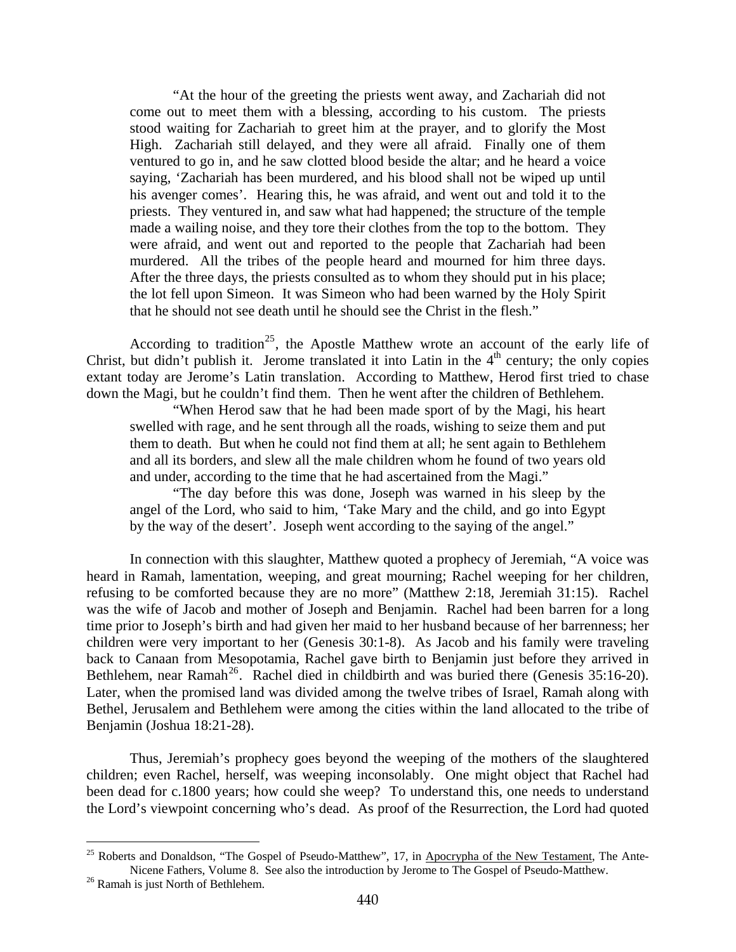"At the hour of the greeting the priests went away, and Zachariah did not come out to meet them with a blessing, according to his custom. The priests stood waiting for Zachariah to greet him at the prayer, and to glorify the Most High. Zachariah still delayed, and they were all afraid. Finally one of them ventured to go in, and he saw clotted blood beside the altar; and he heard a voice saying, 'Zachariah has been murdered, and his blood shall not be wiped up until his avenger comes'. Hearing this, he was afraid, and went out and told it to the priests. They ventured in, and saw what had happened; the structure of the temple made a wailing noise, and they tore their clothes from the top to the bottom. They were afraid, and went out and reported to the people that Zachariah had been murdered. All the tribes of the people heard and mourned for him three days. After the three days, the priests consulted as to whom they should put in his place; the lot fell upon Simeon. It was Simeon who had been warned by the Holy Spirit that he should not see death until he should see the Christ in the flesh."

down the Magi, but he couldn't find them. Then he went after the children of Bethlehem. According to tradition<sup>[25](#page-17-0)</sup>, the Apostle Matthew wrote an account of the early life of Christ, but didn't publish it. Jerome translated it into Latin in the  $4<sup>th</sup>$  century; the only copies extant today are Jerome's Latin translation. According to Matthew, Herod first tried to chase

"When Herod saw that he had been made sport of by the Magi, his heart swelled with rage, and he sent through all the roads, wishing to seize them and put them to death. But when he could not find them at all; he sent again to Bethlehem and all its borders, and slew all the male children whom he found of two years old and under, according to the time that he had ascertained from the Magi."

"The day before this was done, Joseph was warned in his sleep by the angel of the Lord, who said to him, 'Take Mary and the child, and go into Egypt by the way of the desert'. Joseph went according to the saying of the angel."

In connection with this slaughter, Matthew quoted a prophecy of Jeremiah, "A voice was heard in Ramah, lamentation, weeping, and great mourning; Rachel weeping for her children, refusing to be comforted because they are no more" (Matthew 2:18, Jeremiah 31:15). Rachel was the wife of Jacob and mother of Joseph and Benjamin. Rachel had been barren for a long time prior to Joseph's birth and had given her maid to her husband because of her barrenness; her children were very important to her (Genesis 30:1-8). As Jacob and his family were traveling back to Canaan from Mesopotamia, Rachel gave birth to Benjamin just before they arrived in Bethlehem, near Ramah<sup>[26](#page-17-1)</sup>. Rachel died in childbirth and was buried there (Genesis  $35:16-20$ ). Later, when the promised land was divided among the twelve tribes of Israel, Ramah along with Bethel, Jerusalem and Bethlehem were among the cities within the land allocated to the tribe of Benjamin (Joshua 18:21-28).

Thus, Jeremiah's prophecy goes beyond the weeping of the mothers of the slaughtered children; even Rachel, herself, was weeping inconsolably. One might object that Rachel had been dead for c.1800 years; how could she weep? To understand this, one needs to understand the Lord's viewpoint concerning who's dead. As proof of the Resurrection, the Lord had quoted

<span id="page-17-0"></span><sup>&</sup>lt;sup>25</sup> Roberts and Donaldson, "The Gospel of Pseudo-Matthew", 17, in Apocrypha of the New Testament, The Ante-Nicene Fathers, Volume 8. See also the introduction by Jerome to The Gospel of Pseudo-Matthew. <sup>26</sup> Ramah is just North of Bethlehem.

<span id="page-17-1"></span>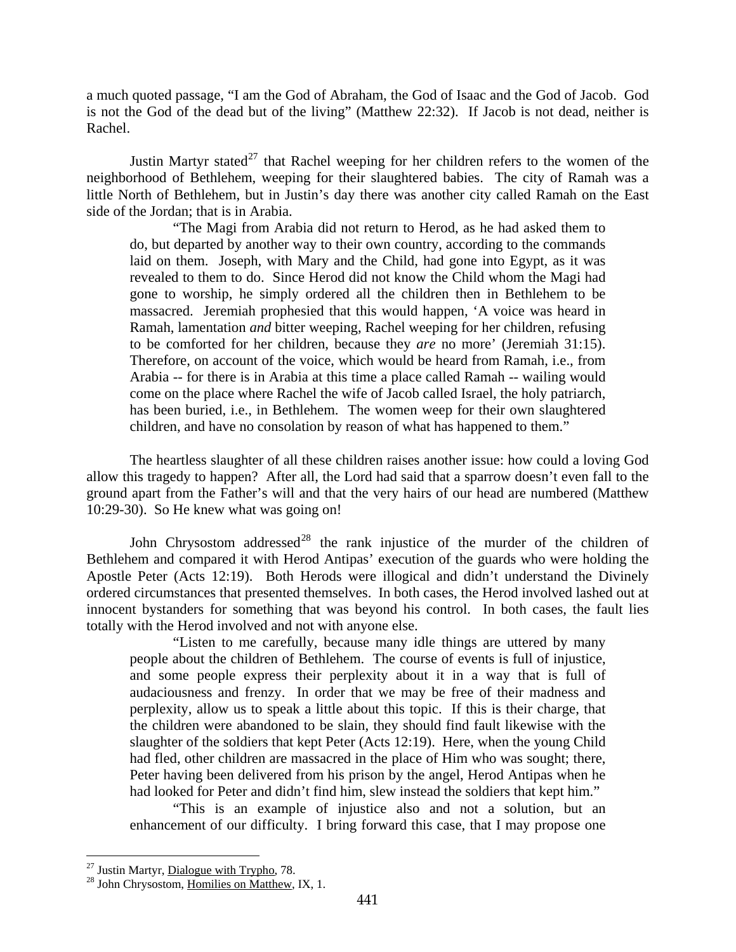a much quoted passage, "I am the God of Abraham, the God of Isaac and the God of Jacob. God is not the God of the dead but of the living" (Matthew 22:32). If Jacob is not dead, neither is Rachel.

Justin Martyr stated<sup>[27](#page-18-0)</sup> that Rachel weeping for her children refers to the women of the neighborhood of Bethlehem, weeping for their slaughtered babies. The city of Ramah was a little North of Bethlehem, but in Justin's day there was another city called Ramah on the East side of the Jordan; that is in Arabia.

"The Magi from Arabia did not return to Herod, as he had asked them to do, but departed by another way to their own country, according to the commands laid on them. Joseph, with Mary and the Child, had gone into Egypt, as it was revealed to them to do. Since Herod did not know the Child whom the Magi had gone to worship, he simply ordered all the children then in Bethlehem to be massacred. Jeremiah prophesied that this would happen, 'A voice was heard in Ramah, lamentation *and* bitter weeping, Rachel weeping for her children, refusing to be comforted for her children, because they *are* no more' (Jeremiah 31:15). Therefore, on account of the voice, which would be heard from Ramah, i.e., from Arabia -- for there is in Arabia at this time a place called Ramah -- wailing would come on the place where Rachel the wife of Jacob called Israel, the holy patriarch, has been buried, i.e., in Bethlehem. The women weep for their own slaughtered children, and have no consolation by reason of what has happened to them."

The heartless slaughter of all these children raises another issue: how could a loving God allow this tragedy to happen? After all, the Lord had said that a sparrow doesn't even fall to the ground apart from the Father's will and that the very hairs of our head are numbered (Matthew 10:29-30). So He knew what was going on!

John Chrysostom addressed<sup>[28](#page-18-1)</sup> the rank injustice of the murder of the children of Bethlehem and compared it with Herod Antipas' execution of the guards who were holding the Apostle Peter (Acts 12:19). Both Herods were illogical and didn't understand the Divinely ordered circumstances that presented themselves. In both cases, the Herod involved lashed out at innocent bystanders for something that was beyond his control. In both cases, the fault lies totally with the Herod involved and not with anyone else.

"Listen to me carefully, because many idle things are uttered by many people about the children of Bethlehem. The course of events is full of injustice, and some people express their perplexity about it in a way that is full of audaciousness and frenzy. In order that we may be free of their madness and perplexity, allow us to speak a little about this topic. If this is their charge, that the children were abandoned to be slain, they should find fault likewise with the slaughter of the soldiers that kept Peter (Acts 12:19). Here, when the young Child had fled, other children are massacred in the place of Him who was sought; there, Peter having been delivered from his prison by the angel, Herod Antipas when he had looked for Peter and didn't find him, slew instead the soldiers that kept him."

"This is an example of injustice also and not a solution, but an enhancement of our difficulty. I bring forward this case, that I may propose one

<span id="page-18-0"></span><sup>&</sup>lt;sup>27</sup> Justin Martyr, Dialogue with Trypho, 78.

<span id="page-18-1"></span> $^{28}$  John Chrysostom, Homilies on Matthew, IX, 1.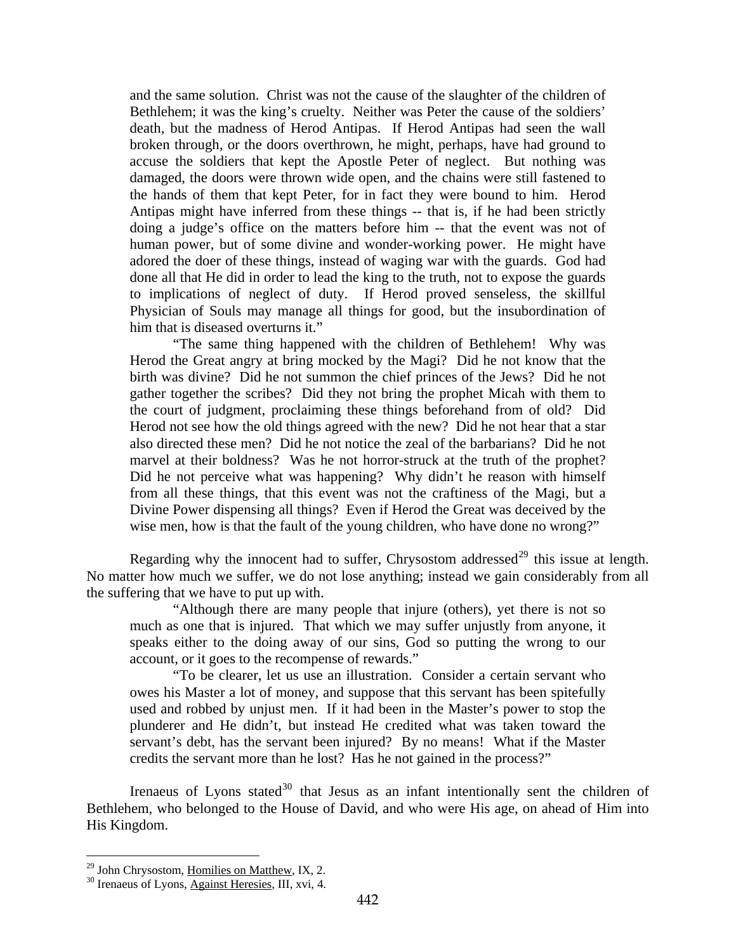and the same solution. Christ was not the cause of the slaughter of the children of Bethlehem; it was the king's cruelty. Neither was Peter the cause of the soldiers' death, but the madness of Herod Antipas. If Herod Antipas had seen the wall broken through, or the doors overthrown, he might, perhaps, have had ground to accuse the soldiers that kept the Apostle Peter of neglect. But nothing was damaged, the doors were thrown wide open, and the chains were still fastened to the hands of them that kept Peter, for in fact they were bound to him. Herod Antipas might have inferred from these things -- that is, if he had been strictly doing a judge's office on the matters before him -- that the event was not of human power, but of some divine and wonder-working power. He might have adored the doer of these things, instead of waging war with the guards. God had done all that He did in order to lead the king to the truth, not to expose the guards to implications of neglect of duty. If Herod proved senseless, the skillful Physician of Souls may manage all things for good, but the insubordination of him that is diseased overturns it."

"The same thing happened with the children of Bethlehem! Why was Herod the Great angry at bring mocked by the Magi? Did he not know that the birth was divine? Did he not summon the chief princes of the Jews? Did he not gather together the scribes? Did they not bring the prophet Micah with them to the court of judgment, proclaiming these things beforehand from of old? Did Herod not see how the old things agreed with the new? Did he not hear that a star also directed these men? Did he not notice the zeal of the barbarians? Did he not marvel at their boldness? Was he not horror-struck at the truth of the prophet? Did he not perceive what was happening? Why didn't he reason with himself from all these things, that this event was not the craftiness of the Magi, but a Divine Power dispensing all things? Even if Herod the Great was deceived by the wise men, how is that the fault of the young children, who have done no wrong?"

Regarding why the innocent had to suffer, Chrysostom addressed<sup>[29](#page-19-0)</sup> this issue at length. No matter how much we suffer, we do not lose anything; instead we gain considerably from all the suffering that we have to put up with.

"Although there are many people that injure (others), yet there is not so much as one that is injured. That which we may suffer unjustly from anyone, it speaks either to the doing away of our sins, God so putting the wrong to our account, or it goes to the recompense of rewards."

"To be clearer, let us use an illustration. Consider a certain servant who owes his Master a lot of money, and suppose that this servant has been spitefully used and robbed by unjust men. If it had been in the Master's power to stop the plunderer and He didn't, but instead He credited what was taken toward the servant's debt, has the servant been injured? By no means! What if the Master credits the servant more than he lost? Has he not gained in the process?"

Irenaeus of Lyons stated $30$  that Jesus as an infant intentionally sent the children of Bethlehem, who belonged to the House of David, and who were His age, on ahead of Him into His Kingdom.

<span id="page-19-1"></span><span id="page-19-0"></span>

<sup>&</sup>lt;sup>29</sup> John Chrysostom, <u>Homilies on Matthew</u>, IX, 2.  $^{30}$  Irenaeus of Lyons, Against Heresies, III, xvi, 4.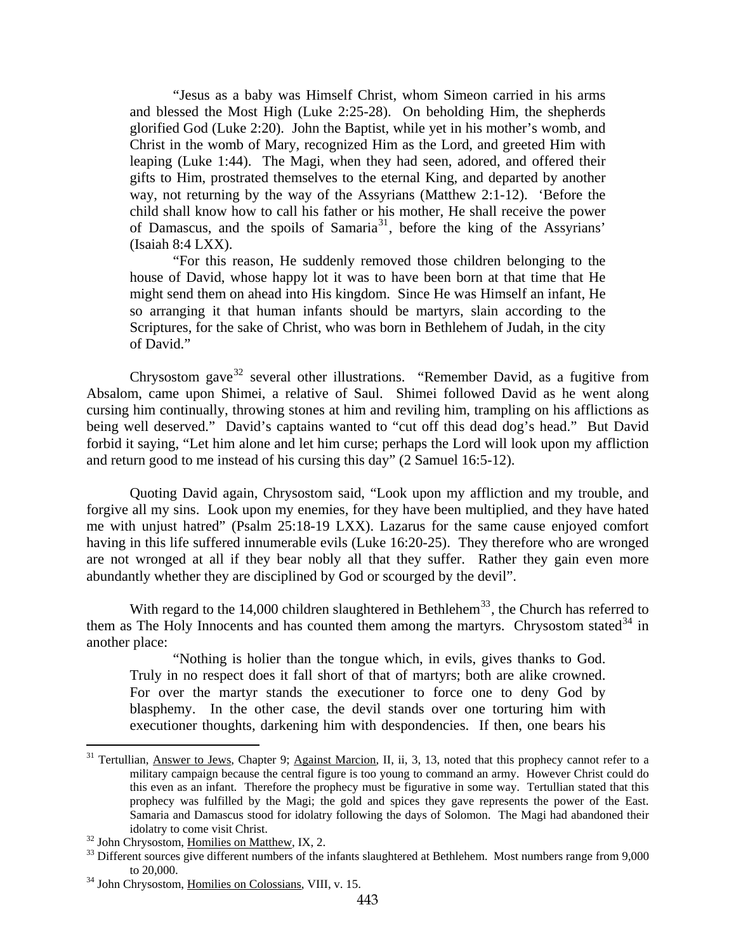"Jesus as a baby was Himself Christ, whom Simeon carried in his arms and blessed the Most High (Luke 2:25-28). On beholding Him, the shepherds glorified God (Luke 2:20). John the Baptist, while yet in his mother's womb, and Christ in the womb of Mary, recognized Him as the Lord, and greeted Him with leaping (Luke 1:44). The Magi, when they had seen, adored, and offered their gifts to Him, prostrated themselves to the eternal King, and departed by another way, not returning by the way of the Assyrians (Matthew 2:1-12). 'Before the child shall know how to call his father or his mother, He shall receive the power of Damascus, and the spoils of Samaria<sup>[31](#page-20-0)</sup>, before the king of the Assyrians' (Isaiah 8:4 LXX).

"For this reason, He suddenly removed those children belonging to the house of David, whose happy lot it was to have been born at that time that He might send them on ahead into His kingdom. Since He was Himself an infant, He so arranging it that human infants should be martyrs, slain according to the Scriptures, for the sake of Christ, who was born in Bethlehem of Judah, in the city of David."

Chrysostom gave<sup>[32](#page-20-1)</sup> several other illustrations. "Remember David, as a fugitive from Absalom, came upon Shimei, a relative of Saul. Shimei followed David as he went along cursing him continually, throwing stones at him and reviling him, trampling on his afflictions as being well deserved." David's captains wanted to "cut off this dead dog's head." But David forbid it saying, "Let him alone and let him curse; perhaps the Lord will look upon my affliction and return good to me instead of his cursing this day" (2 Samuel 16:5-12).

Quoting David again, Chrysostom said, "Look upon my affliction and my trouble, and forgive all my sins. Look upon my enemies, for they have been multiplied, and they have hated me with unjust hatred" (Psalm 25:18-19 LXX). Lazarus for the same cause enjoyed comfort having in this life suffered innumerable evils (Luke 16:20-25). They therefore who are wronged are not wronged at all if they bear nobly all that they suffer. Rather they gain even more abundantly whether they are disciplined by God or scourged by the devil".

With regard to the 14,000 children slaughtered in Bethlehem<sup>[33](#page-20-2)</sup>, the Church has referred to them as The Holy Innocents and has counted them among the martyrs. Chrysostom stated  $34$  in another place:

"Nothing is holier than the tongue which, in evils, gives thanks to God. Truly in no respect does it fall short of that of martyrs; both are alike crowned. For over the martyr stands the executioner to force one to deny God by blasphemy. In the other case, the devil stands over one torturing him with executioner thoughts, darkening him with despondencies. If then, one bears his

<span id="page-20-0"></span><sup>&</sup>lt;sup>31</sup> Tertullian, Answer to Jews, Chapter 9; Against Marcion, II, ii, 3, 13, noted that this prophecy cannot refer to a military campaign because the central figure is too young to command an army. However Christ could do this even as an infant. Therefore the prophecy must be figurative in some way. Tertullian stated that this prophecy was fulfilled by the Magi; the gold and spices they gave represents the power of the East. Samaria and Damascus stood for idolatry following the days of Solomon. The Magi had abandoned their idolatry to come visit Christ.<br><sup>32</sup> John Chrysostom, <u>Homilies on Matthew</u>, IX, 2.<br><sup>33</sup> Different sources give different numbers of the infants slaughtered at Bethlehem. Most numbers range from 9,000

<span id="page-20-1"></span>

<span id="page-20-2"></span>to 20,000. 34 John Chrysostom, Homilies on Colossians, VIII, v. 15.

<span id="page-20-3"></span>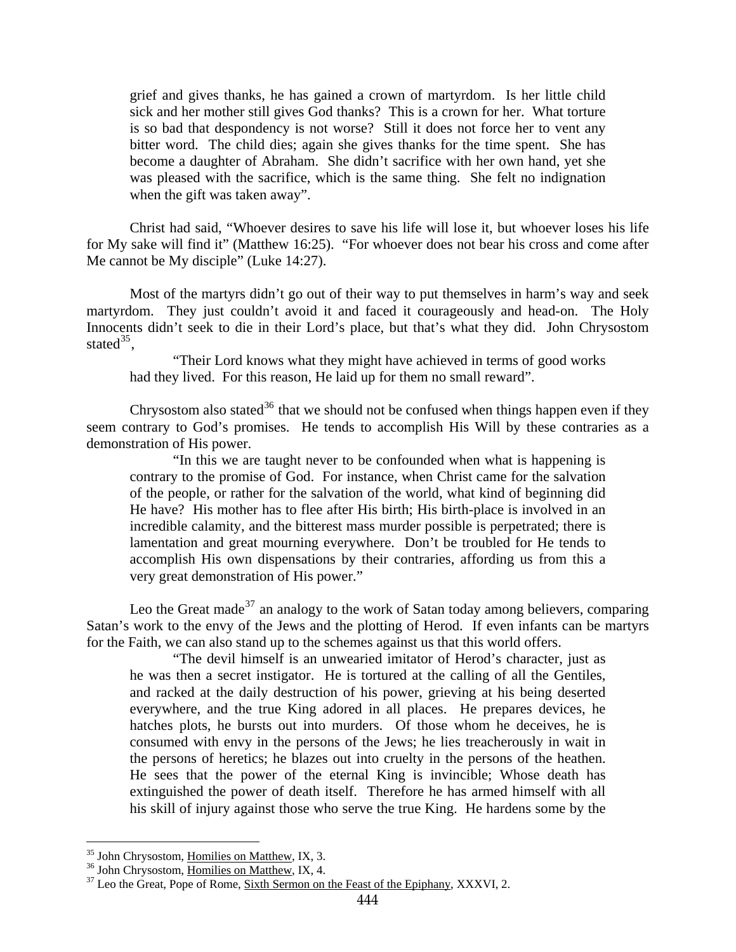grief and gives thanks, he has gained a crown of martyrdom. Is her little child sick and her mother still gives God thanks? This is a crown for her. What torture is so bad that despondency is not worse? Still it does not force her to vent any bitter word. The child dies; again she gives thanks for the time spent. She has become a daughter of Abraham. She didn't sacrifice with her own hand, yet she was pleased with the sacrifice, which is the same thing. She felt no indignation when the gift was taken away".

Christ had said, "Whoever desires to save his life will lose it, but whoever loses his life for My sake will find it" (Matthew 16:25). "For whoever does not bear his cross and come after Me cannot be My disciple" (Luke 14:27).

Most of the martyrs didn't go out of their way to put themselves in harm's way and seek martyrdom. They just couldn't avoid it and faced it courageously and head-on. The Holy Innocents didn't seek to die in their Lord's place, but that's what they did. John Chrysostom stated<sup>[35](#page-21-0)</sup>,

"Their Lord knows what they might have achieved in terms of good works had they lived. For this reason, He laid up for them no small reward".

Chrysostom also stated<sup>[36](#page-21-1)</sup> that we should not be confused when things happen even if they seem contrary to God's promises. He tends to accomplish His Will by these contraries as a demonstration of His power.

"In this we are taught never to be confounded when what is happening is contrary to the promise of God. For instance, when Christ came for the salvation of the people, or rather for the salvation of the world, what kind of beginning did He have? His mother has to flee after His birth; His birth-place is involved in an incredible calamity, and the bitterest mass murder possible is perpetrated; there is lamentation and great mourning everywhere. Don't be troubled for He tends to accomplish His own dispensations by their contraries, affording us from this a very great demonstration of His power."

Leo the Great made<sup>[37](#page-21-2)</sup> an analogy to the work of Satan today among believers, comparing Satan's work to the envy of the Jews and the plotting of Herod. If even infants can be martyrs for the Faith, we can also stand up to the schemes against us that this world offers.

"The devil himself is an unwearied imitator of Herod's character, just as he was then a secret instigator. He is tortured at the calling of all the Gentiles, and racked at the daily destruction of his power, grieving at his being deserted everywhere, and the true King adored in all places. He prepares devices, he hatches plots, he bursts out into murders. Of those whom he deceives, he is consumed with envy in the persons of the Jews; he lies treacherously in wait in the persons of heretics; he blazes out into cruelty in the persons of the heathen. He sees that the power of the eternal King is invincible; Whose death has extinguished the power of death itself. Therefore he has armed himself with all his skill of injury against those who serve the true King. He hardens some by the

<sup>&</sup>lt;sup>35</sup> John Chrysostom, Homilies on Matthew, IX, 3.

<span id="page-21-2"></span><span id="page-21-1"></span><span id="page-21-0"></span><sup>&</sup>lt;sup>36</sup> John Chrysostom, <u>Homilies on Matthew</u>, IX, 4.<br><sup>37</sup> Leo the Great, Pope of Rome, Sixth Sermon on the Feast of the Epiphany, XXXVI, 2.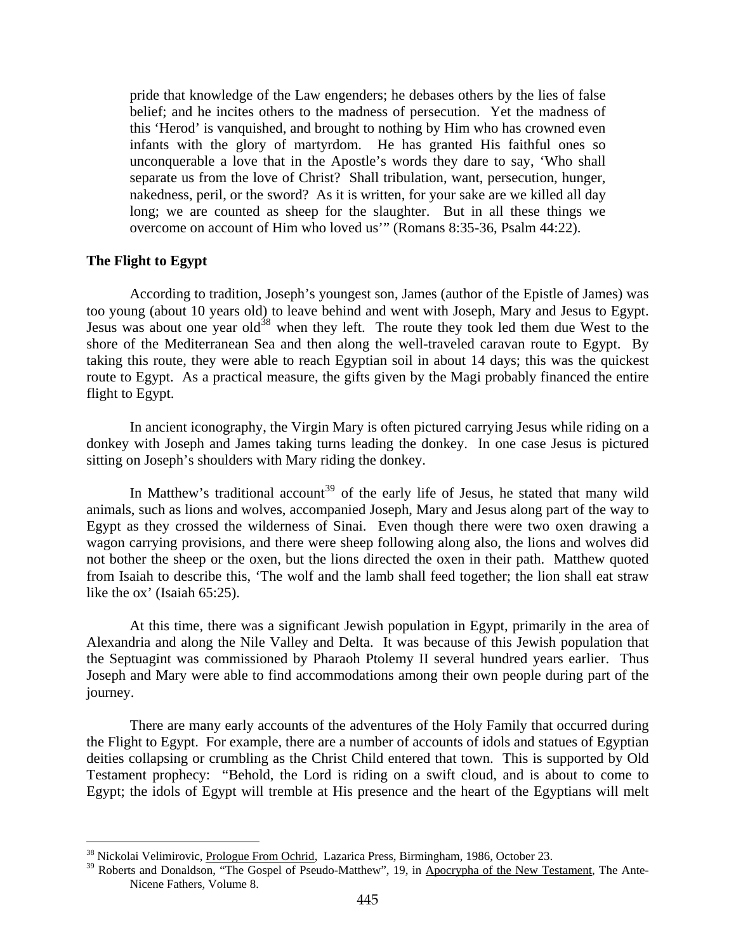<span id="page-22-0"></span>pride that knowledge of the Law engenders; he debases others by the lies of false belief; and he incites others to the madness of persecution. Yet the madness of this 'Herod' is vanquished, and brought to nothing by Him who has crowned even infants with the glory of martyrdom. He has granted His faithful ones so unconquerable a love that in the Apostle's words they dare to say, 'Who shall separate us from the love of Christ? Shall tribulation, want, persecution, hunger, nakedness, peril, or the sword? As it is written, for your sake are we killed all day long; we are counted as sheep for the slaughter. But in all these things we overcome on account of Him who loved us'" (Romans 8:35-36, Psalm 44:22).

#### **The Flight to Egypt**

 $\overline{a}$ 

According to tradition, Joseph's youngest son, James (author of the Epistle of James) was too young (about 10 years old) to leave behind and went with Joseph, Mary and Jesus to Egypt. Jesus was about one year old<sup>[38](#page-22-1)</sup> when they left. The route they took led them due West to the shore of the Mediterranean Sea and then along the well-traveled caravan route to Egypt. By taking this route, they were able to reach Egyptian soil in about 14 days; this was the quickest route to Egypt. As a practical measure, the gifts given by the Magi probably financed the entire flight to Egypt.

In ancient iconography, the Virgin Mary is often pictured carrying Jesus while riding on a donkey with Joseph and James taking turns leading the donkey. In one case Jesus is pictured sitting on Joseph's shoulders with Mary riding the donkey.

In Matthew's traditional account<sup>[39](#page-22-2)</sup> of the early life of Jesus, he stated that many wild animals, such as lions and wolves, accompanied Joseph, Mary and Jesus along part of the way to Egypt as they crossed the wilderness of Sinai. Even though there were two oxen drawing a wagon carrying provisions, and there were sheep following along also, the lions and wolves did not bother the sheep or the oxen, but the lions directed the oxen in their path. Matthew quoted from Isaiah to describe this, 'The wolf and the lamb shall feed together; the lion shall eat straw like the ox' (Isaiah 65:25).

At this time, there was a significant Jewish population in Egypt, primarily in the area of Alexandria and along the Nile Valley and Delta. It was because of this Jewish population that the Septuagint was commissioned by Pharaoh Ptolemy II several hundred years earlier. Thus Joseph and Mary were able to find accommodations among their own people during part of the journey.

There are many early accounts of the adventures of the Holy Family that occurred during the Flight to Egypt. For example, there are a number of accounts of idols and statues of Egyptian deities collapsing or crumbling as the Christ Child entered that town. This is supported by Old Testament prophecy: "Behold, the Lord is riding on a swift cloud, and is about to come to Egypt; the idols of Egypt will tremble at His presence and the heart of the Egyptians will melt

<sup>&</sup>lt;sup>38</sup> Nickolai Velimirovic, Prologue From Ochrid, Lazarica Press, Birmingham, 1986, October 23.

<span id="page-22-2"></span><span id="page-22-1"></span><sup>&</sup>lt;sup>39</sup> Roberts and Donaldson, "The Gospel of Pseudo-Matthew", 19, in Apocrypha of the New Testament, The Ante-Nicene Fathers, Volume 8.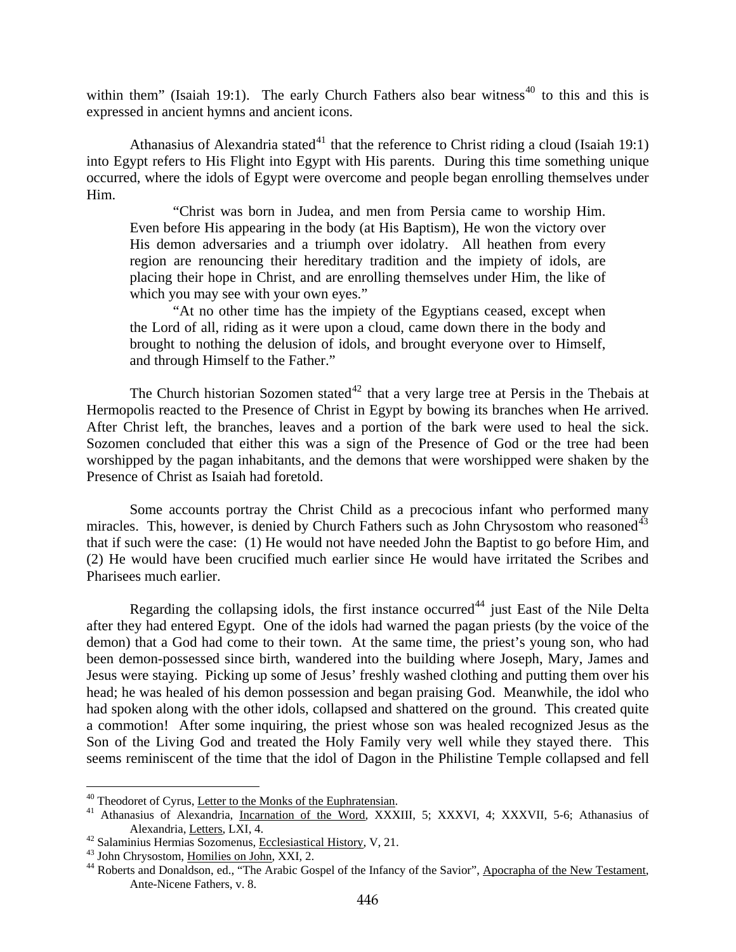within them" (Isaiah 19:1). The early Church Fathers also bear witness<sup>[40](#page-23-0)</sup> to this and this is expressed in ancient hymns and ancient icons.

Athanasius of Alexandria stated<sup>[41](#page-23-1)</sup> that the reference to Christ riding a cloud (Isaiah 19:1) into Egypt refers to His Flight into Egypt with His parents. During this time something unique occurred, where the idols of Egypt were overcome and people began enrolling themselves under Him.

"Christ was born in Judea, and men from Persia came to worship Him. Even before His appearing in the body (at His Baptism), He won the victory over His demon adversaries and a triumph over idolatry. All heathen from every region are renouncing their hereditary tradition and the impiety of idols, are placing their hope in Christ, and are enrolling themselves under Him, the like of which you may see with your own eyes."

"At no other time has the impiety of the Egyptians ceased, except when the Lord of all, riding as it were upon a cloud, came down there in the body and brought to nothing the delusion of idols, and brought everyone over to Himself, and through Himself to the Father."

The Church historian Sozomen stated<sup>[42](#page-23-2)</sup> that a very large tree at Persis in the Thebais at Hermopolis reacted to the Presence of Christ in Egypt by bowing its branches when He arrived. After Christ left, the branches, leaves and a portion of the bark were used to heal the sick. Sozomen concluded that either this was a sign of the Presence of God or the tree had been worshipped by the pagan inhabitants, and the demons that were worshipped were shaken by the Presence of Christ as Isaiah had foretold.

Some accounts portray the Christ Child as a precocious infant who performed many miracles. This, however, is denied by Church Fathers such as John Chrysostom who reasoned  $43$ that if such were the case: (1) He would not have needed John the Baptist to go before Him, and (2) He would have been crucified much earlier since He would have irritated the Scribes and Pharisees much earlier.

Regarding the collapsing idols, the first instance occurred<sup>[44](#page-23-4)</sup> just East of the Nile Delta after they had entered Egypt. One of the idols had warned the pagan priests (by the voice of the demon) that a God had come to their town. At the same time, the priest's young son, who had been demon-possessed since birth, wandered into the building where Joseph, Mary, James and Jesus were staying. Picking up some of Jesus' freshly washed clothing and putting them over his head; he was healed of his demon possession and began praising God. Meanwhile, the idol who had spoken along with the other idols, collapsed and shattered on the ground. This created quite a commotion! After some inquiring, the priest whose son was healed recognized Jesus as the Son of the Living God and treated the Holy Family very well while they stayed there. This seems reminiscent of the time that the idol of Dagon in the Philistine Temple collapsed and fell

<sup>&</sup>lt;sup>40</sup> Theodoret of Cyrus, Letter to the Monks of the Euphratensian.

<span id="page-23-1"></span><span id="page-23-0"></span><sup>&</sup>lt;sup>41</sup> Athanasius of Alexandria, Incarnation of the Word, XXXIII, 5; XXXVI, 4; XXXVII, 5-6; Athanasius of Alexandria, <u>Letters</u>, LXI, 4.<br><sup>42</sup> Salaminius Hermias Sozomenus, <u>Ecclesiastical History</u>, V, 21.<br><sup>43</sup> John Chrysostom, <u>Homilies on John</u>, XXI, 2.<br><sup>44</sup> Roberts and Donaldson, ed., "The Arabic Gospel of the Infancy of the

<span id="page-23-2"></span>

<span id="page-23-4"></span><span id="page-23-3"></span>

Ante-Nicene Fathers, v. 8.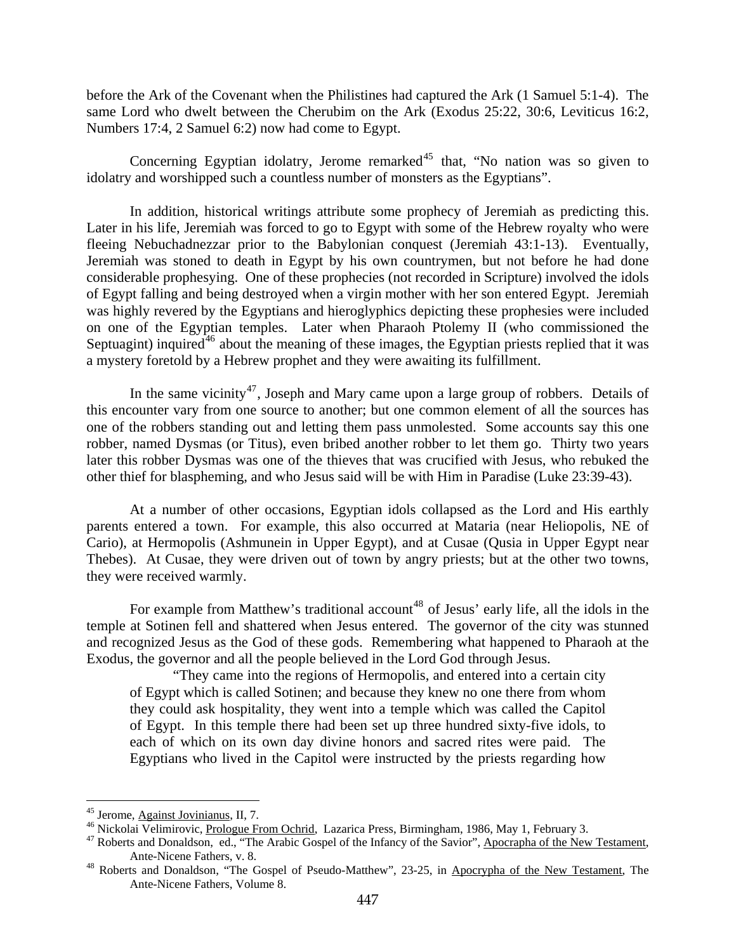before the Ark of the Covenant when the Philistines had captured the Ark (1 Samuel 5:1-4). The same Lord who dwelt between the Cherubim on the Ark (Exodus 25:22, 30:6, Leviticus 16:2, Numbers 17:4, 2 Samuel 6:2) now had come to Egypt.

Concerning Egyptian idolatry, Jerome remarked<sup>[45](#page-24-0)</sup> that, "No nation was so given to idolatry and worshipped such a countless number of monsters as the Egyptians".

In addition, historical writings attribute some prophecy of Jeremiah as predicting this. Later in his life, Jeremiah was forced to go to Egypt with some of the Hebrew royalty who were fleeing Nebuchadnezzar prior to the Babylonian conquest (Jeremiah 43:1-13). Eventually, Jeremiah was stoned to death in Egypt by his own countrymen, but not before he had done considerable prophesying. One of these prophecies (not recorded in Scripture) involved the idols of Egypt falling and being destroyed when a virgin mother with her son entered Egypt. Jeremiah was highly revered by the Egyptians and hieroglyphics depicting these prophesies were included on one of the Egyptian temples. Later when Pharaoh Ptolemy II (who commissioned the Septuagint) inquired<sup>[46](#page-24-1)</sup> about the meaning of these images, the Egyptian priests replied that it was a mystery foretold by a Hebrew prophet and they were awaiting its fulfillment.

In the same vicinity<sup>[47](#page-24-2)</sup>, Joseph and Mary came upon a large group of robbers. Details of this encounter vary from one source to another; but one common element of all the sources has one of the robbers standing out and letting them pass unmolested. Some accounts say this one robber, named Dysmas (or Titus), even bribed another robber to let them go. Thirty two years later this robber Dysmas was one of the thieves that was crucified with Jesus, who rebuked the other thief for blaspheming, and who Jesus said will be with Him in Paradise (Luke 23:39-43).

At a number of other occasions, Egyptian idols collapsed as the Lord and His earthly parents entered a town. For example, this also occurred at Mataria (near Heliopolis, NE of Cario), at Hermopolis (Ashmunein in Upper Egypt), and at Cusae (Qusia in Upper Egypt near Thebes). At Cusae, they were driven out of town by angry priests; but at the other two towns, they were received warmly.

For example from Matthew's traditional account<sup>[48](#page-24-3)</sup> of Jesus' early life, all the idols in the temple at Sotinen fell and shattered when Jesus entered. The governor of the city was stunned and recognized Jesus as the God of these gods. Remembering what happened to Pharaoh at the Exodus, the governor and all the people believed in the Lord God through Jesus.

"They came into the regions of Hermopolis, and entered into a certain city of Egypt which is called Sotinen; and because they knew no one there from whom they could ask hospitality, they went into a temple which was called the Capitol of Egypt. In this temple there had been set up three hundred sixty-five idols, to each of which on its own day divine honors and sacred rites were paid. The Egyptians who lived in the Capitol were instructed by the priests regarding how

<span id="page-24-2"></span>

<span id="page-24-1"></span><span id="page-24-0"></span><sup>&</sup>lt;sup>45</sup> Jerome, Against Jovinianus, II, 7.<br><sup>46</sup> Nickolai Velimirovic, <u>Prologue From Ochrid</u>, Lazarica Press, Birmingham, 1986, May 1, February 3.<br><sup>47</sup> Roberts and Donaldson, ed., "The Arabic Gospel of the Infancy of the Sav

<span id="page-24-3"></span><sup>&</sup>lt;sup>48</sup> Roberts and Donaldson, "The Gospel of Pseudo-Matthew", 23-25, in Apocrypha of the New Testament, The Ante-Nicene Fathers, Volume 8.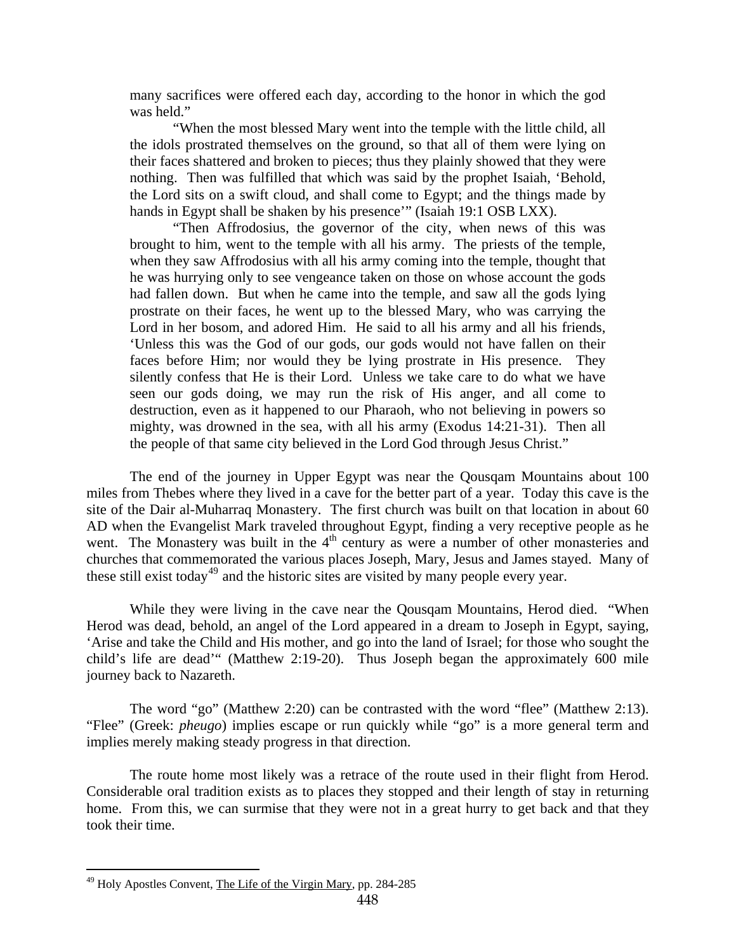many sacrifices were offered each day, according to the honor in which the god was held."

"When the most blessed Mary went into the temple with the little child, all the idols prostrated themselves on the ground, so that all of them were lying on their faces shattered and broken to pieces; thus they plainly showed that they were nothing. Then was fulfilled that which was said by the prophet Isaiah, 'Behold, the Lord sits on a swift cloud, and shall come to Egypt; and the things made by hands in Egypt shall be shaken by his presence'" (Isaiah 19:1 OSB LXX).

"Then Affrodosius, the governor of the city, when news of this was brought to him, went to the temple with all his army. The priests of the temple, when they saw Affrodosius with all his army coming into the temple, thought that he was hurrying only to see vengeance taken on those on whose account the gods had fallen down. But when he came into the temple, and saw all the gods lying prostrate on their faces, he went up to the blessed Mary, who was carrying the Lord in her bosom, and adored Him. He said to all his army and all his friends, 'Unless this was the God of our gods, our gods would not have fallen on their faces before Him; nor would they be lying prostrate in His presence. They silently confess that He is their Lord. Unless we take care to do what we have seen our gods doing, we may run the risk of His anger, and all come to destruction, even as it happened to our Pharaoh, who not believing in powers so mighty, was drowned in the sea, with all his army (Exodus 14:21-31). Then all the people of that same city believed in the Lord God through Jesus Christ."

The end of the journey in Upper Egypt was near the Qousqam Mountains about 100 miles from Thebes where they lived in a cave for the better part of a year. Today this cave is the site of the Dair al-Muharraq Monastery. The first church was built on that location in about 60 AD when the Evangelist Mark traveled throughout Egypt, finding a very receptive people as he went. The Monastery was built in the  $4<sup>th</sup>$  century as were a number of other monasteries and churches that commemorated the various places Joseph, Mary, Jesus and James stayed. Many of these still exist today<sup>[49](#page-25-0)</sup> and the historic sites are visited by many people every year.

While they were living in the cave near the Qousqam Mountains, Herod died. "When Herod was dead, behold, an angel of the Lord appeared in a dream to Joseph in Egypt, saying, 'Arise and take the Child and His mother, and go into the land of Israel; for those who sought the child's life are dead'" (Matthew 2:19-20). Thus Joseph began the approximately 600 mile journey back to Nazareth.

The word "go" (Matthew 2:20) can be contrasted with the word "flee" (Matthew 2:13). "Flee" (Greek: *pheugo*) implies escape or run quickly while "go" is a more general term and implies merely making steady progress in that direction.

The route home most likely was a retrace of the route used in their flight from Herod. Considerable oral tradition exists as to places they stopped and their length of stay in returning home. From this, we can surmise that they were not in a great hurry to get back and that they took their time.

<span id="page-25-0"></span><sup>&</sup>lt;sup>49</sup> Holy Apostles Convent, The Life of the Virgin Mary, pp. 284-285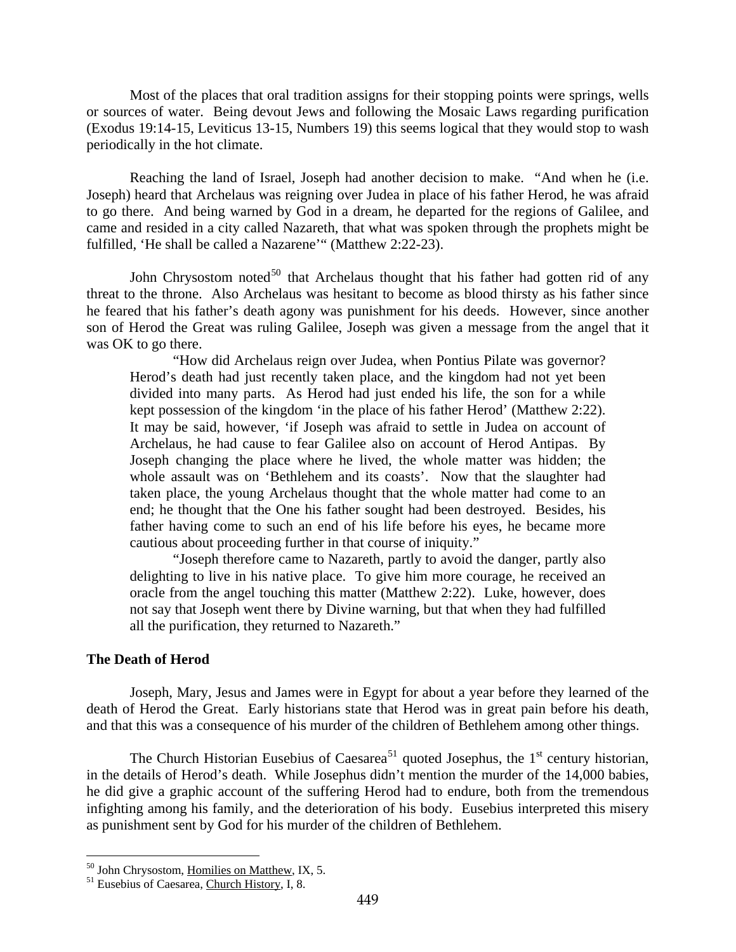<span id="page-26-0"></span>Most of the places that oral tradition assigns for their stopping points were springs, wells or sources of water. Being devout Jews and following the Mosaic Laws regarding purification (Exodus 19:14-15, Leviticus 13-15, Numbers 19) this seems logical that they would stop to wash periodically in the hot climate.

Reaching the land of Israel, Joseph had another decision to make. "And when he (i.e. Joseph) heard that Archelaus was reigning over Judea in place of his father Herod, he was afraid to go there. And being warned by God in a dream, he departed for the regions of Galilee, and came and resided in a city called Nazareth, that what was spoken through the prophets might be fulfilled, 'He shall be called a Nazarene'" (Matthew 2:22-23).

John Chrysostom noted $50$  that Archelaus thought that his father had gotten rid of any threat to the throne. Also Archelaus was hesitant to become as blood thirsty as his father since he feared that his father's death agony was punishment for his deeds. However, since another son of Herod the Great was ruling Galilee, Joseph was given a message from the angel that it was OK to go there.

"How did Archelaus reign over Judea, when Pontius Pilate was governor? Herod's death had just recently taken place, and the kingdom had not yet been divided into many parts. As Herod had just ended his life, the son for a while kept possession of the kingdom 'in the place of his father Herod' (Matthew 2:22). It may be said, however, 'if Joseph was afraid to settle in Judea on account of Archelaus, he had cause to fear Galilee also on account of Herod Antipas. By Joseph changing the place where he lived, the whole matter was hidden; the whole assault was on 'Bethlehem and its coasts'. Now that the slaughter had taken place, the young Archelaus thought that the whole matter had come to an end; he thought that the One his father sought had been destroyed. Besides, his father having come to such an end of his life before his eyes, he became more cautious about proceeding further in that course of iniquity."

"Joseph therefore came to Nazareth, partly to avoid the danger, partly also delighting to live in his native place. To give him more courage, he received an oracle from the angel touching this matter (Matthew 2:22). Luke, however, does not say that Joseph went there by Divine warning, but that when they had fulfilled all the purification, they returned to Nazareth."

#### **The Death of Herod**

Joseph, Mary, Jesus and James were in Egypt for about a year before they learned of the death of Herod the Great. Early historians state that Herod was in great pain before his death, and that this was a consequence of his murder of the children of Bethlehem among other things.

The Church Historian Eusebius of Caesarea<sup>[51](#page-26-2)</sup> quoted Josephus, the  $1<sup>st</sup>$  century historian, in the details of Herod's death. While Josephus didn't mention the murder of the 14,000 babies, he did give a graphic account of the suffering Herod had to endure, both from the tremendous infighting among his family, and the deterioration of his body. Eusebius interpreted this misery as punishment sent by God for his murder of the children of Bethlehem.

<span id="page-26-1"></span><sup>&</sup>lt;sup>50</sup> John Chrysostom, Homilies on Matthew, IX, 5.

<span id="page-26-2"></span><sup>&</sup>lt;sup>51</sup> Eusebius of Caesarea, Church History, I, 8.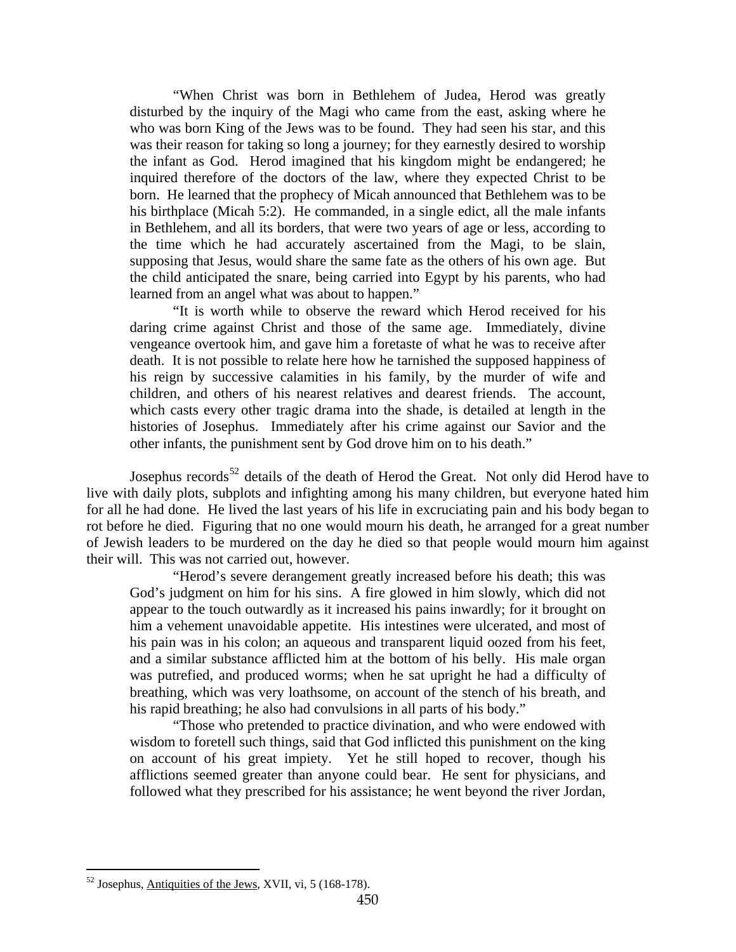"When Christ was born in Bethlehem of Judea, Herod was greatly disturbed by the inquiry of the Magi who came from the east, asking where he who was born King of the Jews was to be found. They had seen his star, and this was their reason for taking so long a journey; for they earnestly desired to worship the infant as God. Herod imagined that his kingdom might be endangered; he inquired therefore of the doctors of the law, where they expected Christ to be born. He learned that the prophecy of Micah announced that Bethlehem was to be his birthplace (Micah 5:2). He commanded, in a single edict, all the male infants in Bethlehem, and all its borders, that were two years of age or less, according to the time which he had accurately ascertained from the Magi, to be slain, supposing that Jesus, would share the same fate as the others of his own age. But the child anticipated the snare, being carried into Egypt by his parents, who had learned from an angel what was about to happen."

"It is worth while to observe the reward which Herod received for his daring crime against Christ and those of the same age. Immediately, divine vengeance overtook him, and gave him a foretaste of what he was to receive after death. It is not possible to relate here how he tarnished the supposed happiness of his reign by successive calamities in his family, by the murder of wife and children, and others of his nearest relatives and dearest friends. The account, which casts every other tragic drama into the shade, is detailed at length in the histories of Josephus. Immediately after his crime against our Savior and the other infants, the punishment sent by God drove him on to his death."

Josephus records<sup>[52](#page-27-0)</sup> details of the death of Herod the Great. Not only did Herod have to live with daily plots, subplots and infighting among his many children, but everyone hated him for all he had done. He lived the last years of his life in excruciating pain and his body began to rot before he died. Figuring that no one would mourn his death, he arranged for a great number of Jewish leaders to be murdered on the day he died so that people would mourn him against their will. This was not carried out, however.

"Herod's severe derangement greatly increased before his death; this was God's judgment on him for his sins. A fire glowed in him slowly, which did not appear to the touch outwardly as it increased his pains inwardly; for it brought on him a vehement unavoidable appetite. His intestines were ulcerated, and most of his pain was in his colon; an aqueous and transparent liquid oozed from his feet, and a similar substance afflicted him at the bottom of his belly. His male organ was putrefied, and produced worms; when he sat upright he had a difficulty of breathing, which was very loathsome, on account of the stench of his breath, and his rapid breathing; he also had convulsions in all parts of his body."

"Those who pretended to practice divination, and who were endowed with wisdom to foretell such things, said that God inflicted this punishment on the king on account of his great impiety. Yet he still hoped to recover, though his afflictions seemed greater than anyone could bear. He sent for physicians, and followed what they prescribed for his assistance; he went beyond the river Jordan,

<span id="page-27-0"></span> $52$  Josephus, Antiquities of the Jews, XVII, vi, 5 (168-178).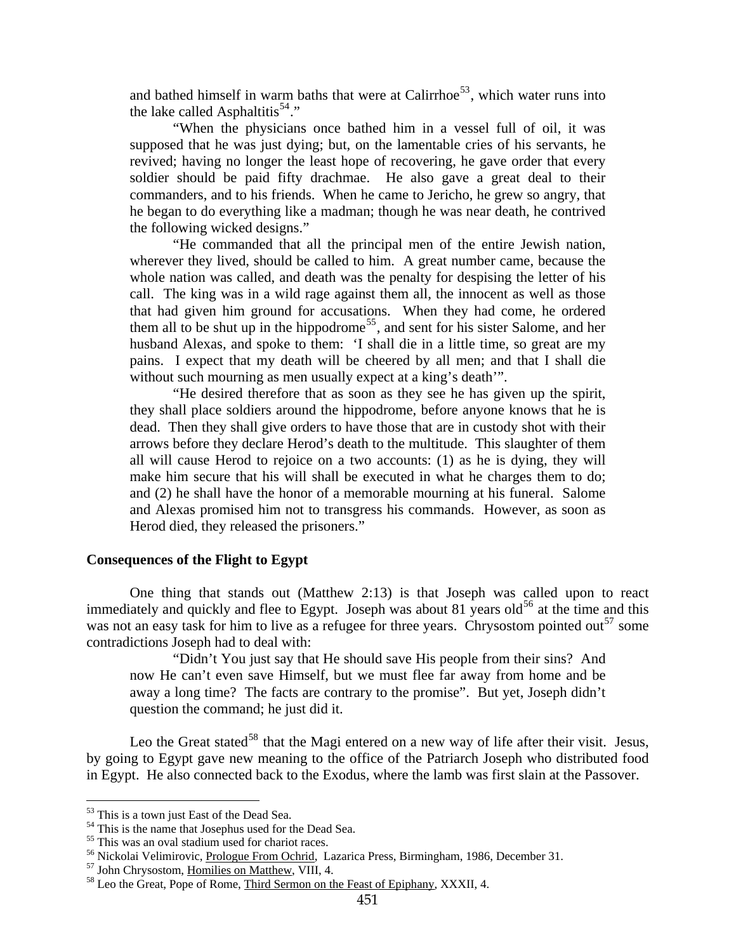<span id="page-28-0"></span>and bathed himself in warm baths that were at Calirrhoe<sup>[53](#page-28-1)</sup>, which water runs into the lake called Asphaltitis<sup>[54](#page-28-2)</sup>."

"When the physicians once bathed him in a vessel full of oil, it was supposed that he was just dying; but, on the lamentable cries of his servants, he revived; having no longer the least hope of recovering, he gave order that every soldier should be paid fifty drachmae. He also gave a great deal to their commanders, and to his friends. When he came to Jericho, he grew so angry, that he began to do everything like a madman; though he was near death, he contrived the following wicked designs."

"He commanded that all the principal men of the entire Jewish nation, wherever they lived, should be called to him. A great number came, because the whole nation was called, and death was the penalty for despising the letter of his call. The king was in a wild rage against them all, the innocent as well as those that had given him ground for accusations. When they had come, he ordered them all to be shut up in the hippodrome<sup>[55](#page-28-3)</sup>, and sent for his sister Salome, and her husband Alexas, and spoke to them: 'I shall die in a little time, so great are my pains. I expect that my death will be cheered by all men; and that I shall die without such mourning as men usually expect at a king's death'".

"He desired therefore that as soon as they see he has given up the spirit, they shall place soldiers around the hippodrome, before anyone knows that he is dead. Then they shall give orders to have those that are in custody shot with their arrows before they declare Herod's death to the multitude. This slaughter of them all will cause Herod to rejoice on a two accounts: (1) as he is dying, they will make him secure that his will shall be executed in what he charges them to do; and (2) he shall have the honor of a memorable mourning at his funeral. Salome and Alexas promised him not to transgress his commands. However, as soon as Herod died, they released the prisoners."

#### **Consequences of the Flight to Egypt**

One thing that stands out (Matthew 2:13) is that Joseph was called upon to react immediately and quickly and flee to Egypt. Joseph was about 81 years old<sup>[56](#page-28-4)</sup> at the time and this was not an easy task for him to live as a refugee for three years. Chrysostom pointed out<sup>[57](#page-28-5)</sup> some contradictions Joseph had to deal with:

"Didn't You just say that He should save His people from their sins? And now He can't even save Himself, but we must flee far away from home and be away a long time? The facts are contrary to the promise". But yet, Joseph didn't question the command; he just did it.

Leo the Great stated<sup>[58](#page-28-6)</sup> that the Magi entered on a new way of life after their visit. Jesus, by going to Egypt gave new meaning to the office of the Patriarch Joseph who distributed food in Egypt. He also connected back to the Exodus, where the lamb was first slain at the Passover.

<span id="page-28-1"></span><sup>&</sup>lt;sup>53</sup> This is a town just East of the Dead Sea.

<span id="page-28-2"></span><sup>&</sup>lt;sup>54</sup> This is the name that Josephus used for the Dead Sea.

<span id="page-28-3"></span> $55$  This was an oval stadium used for chariot races.<br> $56$  Nickolai Velimirovic, Prologue From Ochrid, Lazarica Press, Birmingham, 1986, December 31.

<span id="page-28-6"></span><span id="page-28-5"></span><span id="page-28-4"></span> $57$  John Chrysostom, <u>Homilies on Matthew, VIII,</u> 4.  $58$  Leo the Great, Pope of Rome, Third Sermon on the Feast of Epiphany, XXXII, 4.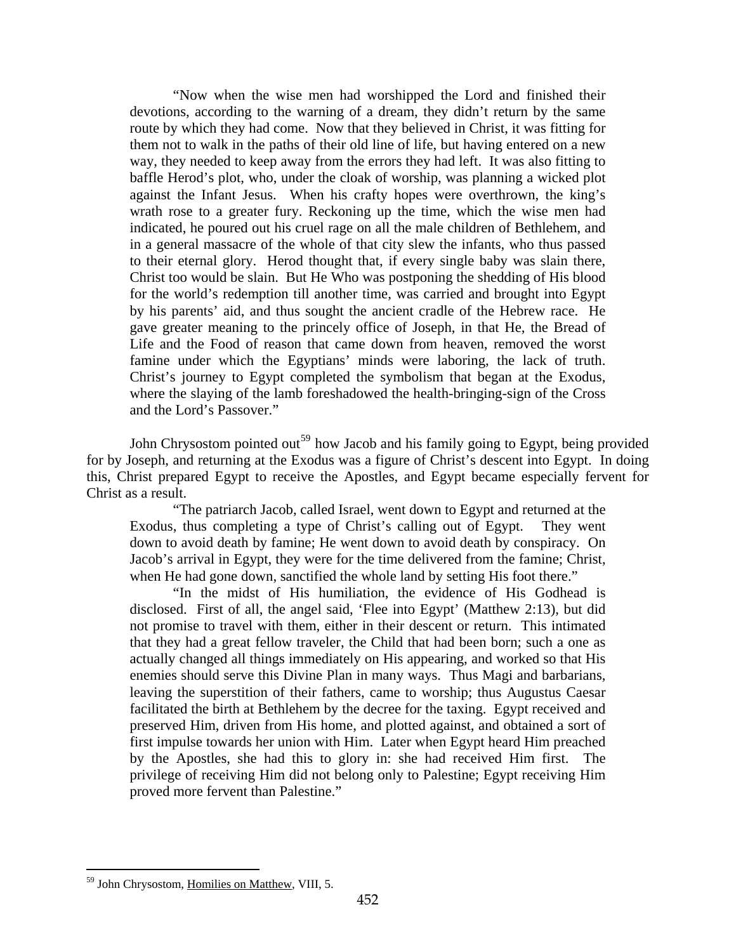"Now when the wise men had worshipped the Lord and finished their devotions, according to the warning of a dream, they didn't return by the same route by which they had come. Now that they believed in Christ, it was fitting for them not to walk in the paths of their old line of life, but having entered on a new way, they needed to keep away from the errors they had left. It was also fitting to baffle Herod's plot, who, under the cloak of worship, was planning a wicked plot against the Infant Jesus. When his crafty hopes were overthrown, the king's wrath rose to a greater fury. Reckoning up the time, which the wise men had indicated, he poured out his cruel rage on all the male children of Bethlehem, and in a general massacre of the whole of that city slew the infants, who thus passed to their eternal glory. Herod thought that, if every single baby was slain there, Christ too would be slain. But He Who was postponing the shedding of His blood for the world's redemption till another time, was carried and brought into Egypt by his parents' aid, and thus sought the ancient cradle of the Hebrew race. He gave greater meaning to the princely office of Joseph, in that He, the Bread of Life and the Food of reason that came down from heaven, removed the worst famine under which the Egyptians' minds were laboring, the lack of truth. Christ's journey to Egypt completed the symbolism that began at the Exodus, where the slaying of the lamb foreshadowed the health-bringing-sign of the Cross and the Lord's Passover."

John Chrysostom pointed out<sup>[59](#page-29-0)</sup> how Jacob and his family going to Egypt, being provided for by Joseph, and returning at the Exodus was a figure of Christ's descent into Egypt. In doing this, Christ prepared Egypt to receive the Apostles, and Egypt became especially fervent for Christ as a result.

"The patriarch Jacob, called Israel, went down to Egypt and returned at the Exodus, thus completing a type of Christ's calling out of Egypt. They went down to avoid death by famine; He went down to avoid death by conspiracy. On Jacob's arrival in Egypt, they were for the time delivered from the famine; Christ, when He had gone down, sanctified the whole land by setting His foot there."

"In the midst of His humiliation, the evidence of His Godhead is disclosed. First of all, the angel said, 'Flee into Egypt' (Matthew 2:13), but did not promise to travel with them, either in their descent or return. This intimated that they had a great fellow traveler, the Child that had been born; such a one as actually changed all things immediately on His appearing, and worked so that His enemies should serve this Divine Plan in many ways. Thus Magi and barbarians, leaving the superstition of their fathers, came to worship; thus Augustus Caesar facilitated the birth at Bethlehem by the decree for the taxing. Egypt received and preserved Him, driven from His home, and plotted against, and obtained a sort of first impulse towards her union with Him. Later when Egypt heard Him preached by the Apostles, she had this to glory in: she had received Him first. The privilege of receiving Him did not belong only to Palestine; Egypt receiving Him proved more fervent than Palestine."

<span id="page-29-0"></span><sup>59</sup> John Chrysostom, Homilies on Matthew, VIII, 5.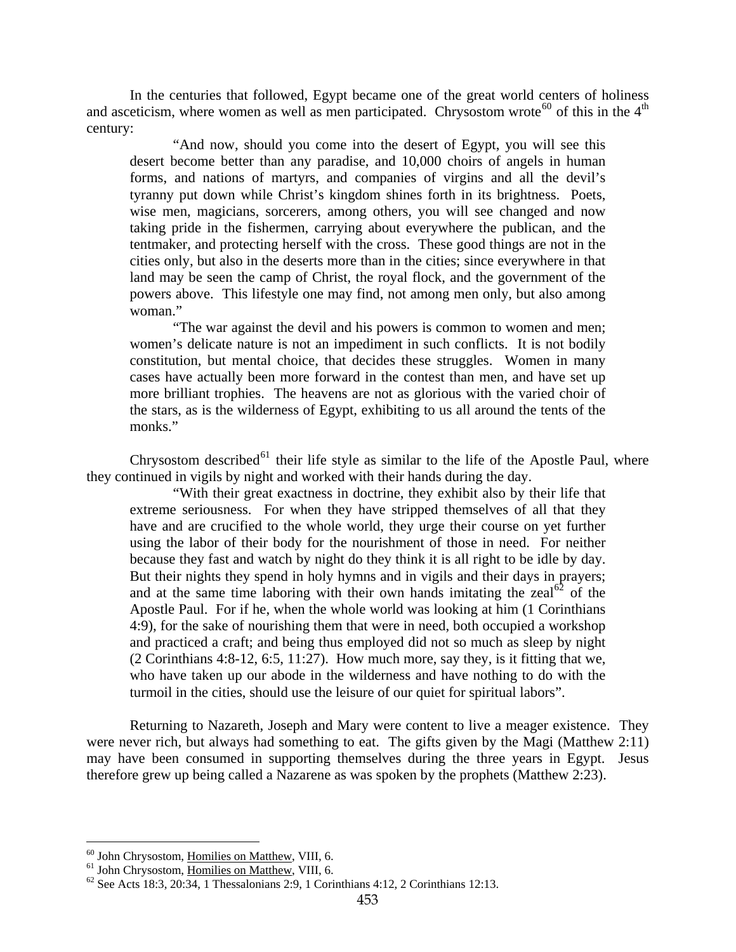In the centuries that followed, Egypt became one of the great world centers of holiness and asceticism, where women as well as men participated. Chrysostom wrote<sup>[60](#page-30-0)</sup> of this in the  $4<sup>th</sup>$ century:

"And now, should you come into the desert of Egypt, you will see this desert become better than any paradise, and 10,000 choirs of angels in human forms, and nations of martyrs, and companies of virgins and all the devil's tyranny put down while Christ's kingdom shines forth in its brightness. Poets, wise men, magicians, sorcerers, among others, you will see changed and now taking pride in the fishermen, carrying about everywhere the publican, and the tentmaker, and protecting herself with the cross. These good things are not in the cities only, but also in the deserts more than in the cities; since everywhere in that land may be seen the camp of Christ, the royal flock, and the government of the powers above. This lifestyle one may find, not among men only, but also among woman."

"The war against the devil and his powers is common to women and men; women's delicate nature is not an impediment in such conflicts. It is not bodily constitution, but mental choice, that decides these struggles. Women in many cases have actually been more forward in the contest than men, and have set up more brilliant trophies. The heavens are not as glorious with the varied choir of the stars, as is the wilderness of Egypt, exhibiting to us all around the tents of the monks."

Chrysostom described $^{61}$  $^{61}$  $^{61}$  their life style as similar to the life of the Apostle Paul, where they continued in vigils by night and worked with their hands during the day.

"With their great exactness in doctrine, they exhibit also by their life that extreme seriousness. For when they have stripped themselves of all that they have and are crucified to the whole world, they urge their course on yet further using the labor of their body for the nourishment of those in need. For neither because they fast and watch by night do they think it is all right to be idle by day. But their nights they spend in holy hymns and in vigils and their days in prayers; and at the same time laboring with their own hands imitating the zeal<sup>[62](#page-30-2)</sup> of the Apostle Paul. For if he, when the whole world was looking at him (1 Corinthians 4:9), for the sake of nourishing them that were in need, both occupied a workshop and practiced a craft; and being thus employed did not so much as sleep by night (2 Corinthians 4:8-12, 6:5, 11:27). How much more, say they, is it fitting that we, who have taken up our abode in the wilderness and have nothing to do with the turmoil in the cities, should use the leisure of our quiet for spiritual labors".

Returning to Nazareth, Joseph and Mary were content to live a meager existence. They were never rich, but always had something to eat. The gifts given by the Magi (Matthew 2:11) may have been consumed in supporting themselves during the three years in Egypt. Jesus therefore grew up being called a Nazarene as was spoken by the prophets (Matthew 2:23).

<sup>&</sup>lt;sup>60</sup> John Chrysostom, Homilies on Matthew, VIII, 6.

<span id="page-30-2"></span><span id="page-30-1"></span><span id="page-30-0"></span><sup>&</sup>lt;sup>61</sup> John Chrysostom, <u>Homilies on Matthew</u>, VIII, 6.<br><sup>62</sup> See Acts 18:3, 20:34, 1 Thessalonians 2:9, 1 Corinthians 4:12, 2 Corinthians 12:13.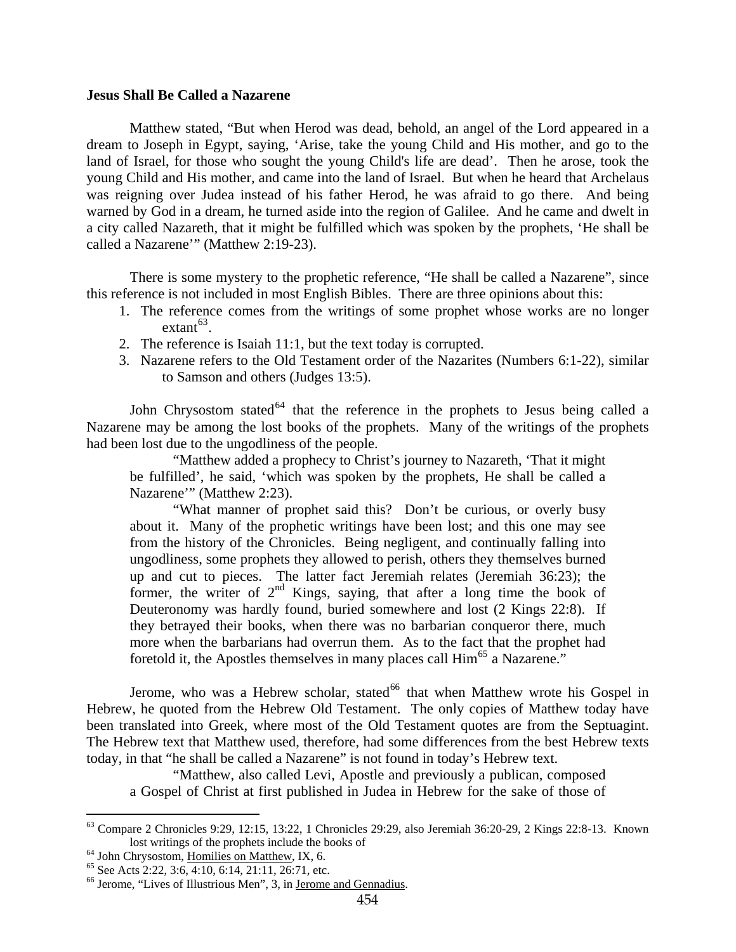#### <span id="page-31-0"></span>**Jesus Shall Be Called a Nazarene**

Matthew stated, "But when Herod was dead, behold, an angel of the Lord appeared in a dream to Joseph in Egypt, saying, 'Arise, take the young Child and His mother, and go to the land of Israel, for those who sought the young Child's life are dead'. Then he arose, took the young Child and His mother, and came into the land of Israel. But when he heard that Archelaus was reigning over Judea instead of his father Herod, he was afraid to go there. And being warned by God in a dream, he turned aside into the region of Galilee. And he came and dwelt in a city called Nazareth, that it might be fulfilled which was spoken by the prophets, 'He shall be called a Nazarene'" (Matthew 2:19-23).

There is some mystery to the prophetic reference, "He shall be called a Nazarene", since this reference is not included in most English Bibles. There are three opinions about this:

- 1. The reference comes from the writings of some prophet whose works are no longer  $extant^{63}$  $extant^{63}$  $extant^{63}$ .
- 2. The reference is Isaiah 11:1, but the text today is corrupted.
- 3. Nazarene refers to the Old Testament order of the Nazarites (Numbers 6:1-22), similar to Samson and others (Judges 13:5).

John Chrysostom stated<sup>[64](#page-31-2)</sup> that the reference in the prophets to Jesus being called a Nazarene may be among the lost books of the prophets. Many of the writings of the prophets had been lost due to the ungodliness of the people.

"Matthew added a prophecy to Christ's journey to Nazareth, 'That it might be fulfilled', he said, 'which was spoken by the prophets, He shall be called a Nazarene'" (Matthew 2:23).

"What manner of prophet said this? Don't be curious, or overly busy about it. Many of the prophetic writings have been lost; and this one may see from the history of the Chronicles. Being negligent, and continually falling into ungodliness, some prophets they allowed to perish, others they themselves burned up and cut to pieces. The latter fact Jeremiah relates (Jeremiah 36:23); the former, the writer of  $2<sup>nd</sup>$  Kings, saying, that after a long time the book of Deuteronomy was hardly found, buried somewhere and lost (2 Kings 22:8). If they betrayed their books, when there was no barbarian conqueror there, much more when the barbarians had overrun them. As to the fact that the prophet had foretold it, the Apostles themselves in many places call  $\text{Him}^{65}$  $\text{Him}^{65}$  $\text{Him}^{65}$  a Nazarene."

Jerome, who was a Hebrew scholar, stated<sup>[66](#page-31-4)</sup> that when Matthew wrote his Gospel in Hebrew, he quoted from the Hebrew Old Testament. The only copies of Matthew today have been translated into Greek, where most of the Old Testament quotes are from the Septuagint. The Hebrew text that Matthew used, therefore, had some differences from the best Hebrew texts today, in that "he shall be called a Nazarene" is not found in today's Hebrew text.

"Matthew, also called Levi, Apostle and previously a publican, composed a Gospel of Christ at first published in Judea in Hebrew for the sake of those of

<span id="page-31-1"></span><sup>63</sup> Compare 2 Chronicles 9:29, 12:15, 13:22, 1 Chronicles 29:29, also Jeremiah 36:20-29, 2 Kings 22:8-13. Known lost writings of the prophets include the books of <sup>64</sup> John Chrysostom, <u>Homilies on Matthew</u>, IX, 6. <sup>65</sup> See Acts 2:22, 3:6, 4:10, 6:14, 21:11, 26:71, etc.

<span id="page-31-2"></span>

<span id="page-31-4"></span><span id="page-31-3"></span><sup>&</sup>lt;sup>66</sup> Jerome, "Lives of Illustrious Men", 3, in Jerome and Gennadius.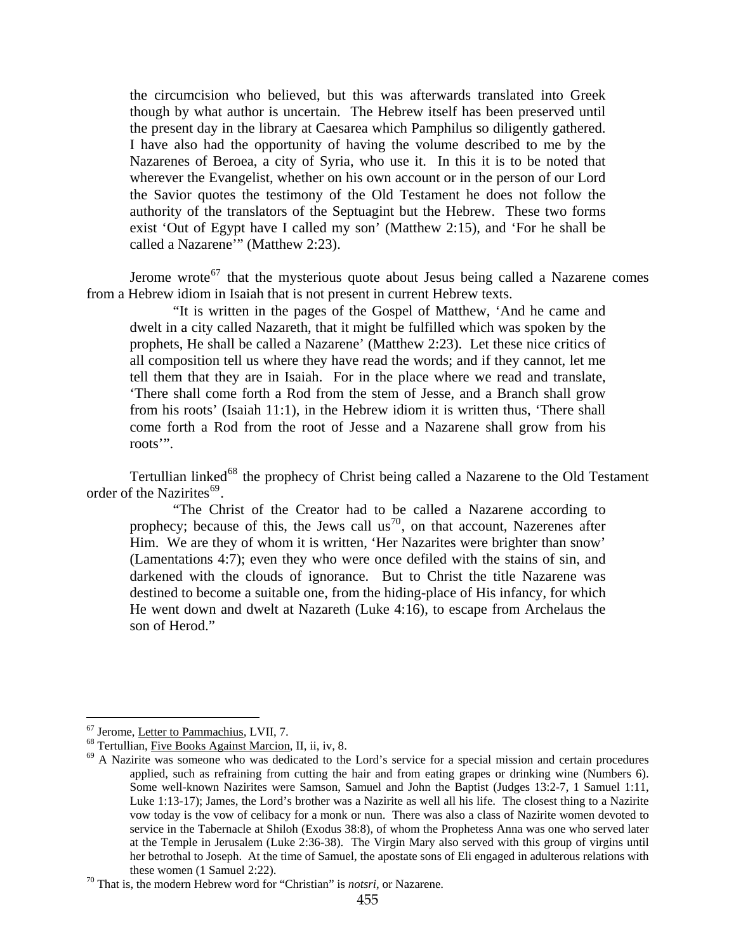the circumcision who believed, but this was afterwards translated into Greek though by what author is uncertain. The Hebrew itself has been preserved until the present day in the library at Caesarea which Pamphilus so diligently gathered. I have also had the opportunity of having the volume described to me by the Nazarenes of Beroea, a city of Syria, who use it. In this it is to be noted that wherever the Evangelist, whether on his own account or in the person of our Lord the Savior quotes the testimony of the Old Testament he does not follow the authority of the translators of the Septuagint but the Hebrew. These two forms exist 'Out of Egypt have I called my son' (Matthew 2:15), and 'For he shall be called a Nazarene'" (Matthew 2:23).

Jerome wrote<sup>[67](#page-32-0)</sup> that the mysterious quote about Jesus being called a Nazarene comes from a Hebrew idiom in Isaiah that is not present in current Hebrew texts.

"It is written in the pages of the Gospel of Matthew, 'And he came and dwelt in a city called Nazareth, that it might be fulfilled which was spoken by the prophets, He shall be called a Nazarene' (Matthew 2:23). Let these nice critics of all composition tell us where they have read the words; and if they cannot, let me tell them that they are in Isaiah. For in the place where we read and translate, 'There shall come forth a Rod from the stem of Jesse, and a Branch shall grow from his roots' (Isaiah 11:1), in the Hebrew idiom it is written thus, 'There shall come forth a Rod from the root of Jesse and a Nazarene shall grow from his roots'".

Tertullian linked<sup>[68](#page-32-1)</sup> the prophecy of Christ being called a Nazarene to the Old Testament order of the Nazirites<sup>[69](#page-32-2)</sup>.

"The Christ of the Creator had to be called a Nazarene according to prophecy; because of this, the Jews call us<sup>[70](#page-32-3)</sup>, on that account, Nazerenes after Him. We are they of whom it is written, 'Her Nazarites were brighter than snow' (Lamentations 4:7); even they who were once defiled with the stains of sin, and darkened with the clouds of ignorance. But to Christ the title Nazarene was destined to become a suitable one, from the hiding-place of His infancy, for which He went down and dwelt at Nazareth (Luke 4:16), to escape from Archelaus the son of Herod."

<span id="page-32-0"></span><sup>&</sup>lt;sup>67</sup> Jerome, Letter to Pammachius, LVII, 7.

<span id="page-32-2"></span><span id="page-32-1"></span><sup>&</sup>lt;sup>68</sup> Tertullian, <u>Five Books Against Marcion</u>, II, ii, iv, 8. <sup>69</sup> A Nazirite was someone who was dedicated to the Lord's service for a special mission and certain procedures applied, such as refraining from cutting the hair and from eating grapes or drinking wine (Numbers 6). Some well-known Nazirites were Samson, Samuel and John the Baptist (Judges 13:2-7, 1 Samuel 1:11, Luke 1:13-17); James, the Lord's brother was a Nazirite as well all his life. The closest thing to a Nazirite vow today is the vow of celibacy for a monk or nun. There was also a class of Nazirite women devoted to service in the Tabernacle at Shiloh (Exodus 38:8), of whom the Prophetess Anna was one who served later at the Temple in Jerusalem (Luke 2:36-38). The Virgin Mary also served with this group of virgins until her betrothal to Joseph. At the time of Samuel, the apostate sons of Eli engaged in adulterous relations with these women (1 Samuel 2:22).<br><sup>70</sup> That is, the modern Hebrew word for "Christian" is *notsri*, or Nazarene.

<span id="page-32-3"></span>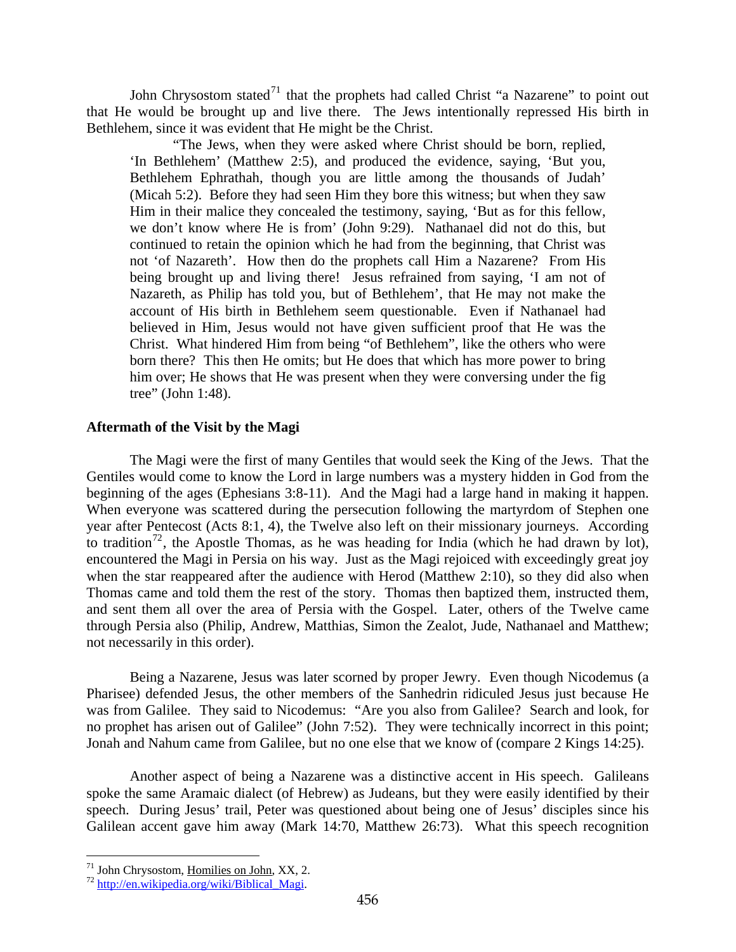<span id="page-33-0"></span>John Chrysostom stated<sup>[71](#page-33-1)</sup> that the prophets had called Christ "a Nazarene" to point out that He would be brought up and live there. The Jews intentionally repressed His birth in Bethlehem, since it was evident that He might be the Christ.

"The Jews, when they were asked where Christ should be born, replied, 'In Bethlehem' (Matthew 2:5), and produced the evidence, saying, 'But you, Bethlehem Ephrathah, though you are little among the thousands of Judah' (Micah 5:2). Before they had seen Him they bore this witness; but when they saw Him in their malice they concealed the testimony, saying, 'But as for this fellow, we don't know where He is from' (John 9:29). Nathanael did not do this, but continued to retain the opinion which he had from the beginning, that Christ was not 'of Nazareth'. How then do the prophets call Him a Nazarene? From His being brought up and living there! Jesus refrained from saying, 'I am not of Nazareth, as Philip has told you, but of Bethlehem', that He may not make the account of His birth in Bethlehem seem questionable. Even if Nathanael had believed in Him, Jesus would not have given sufficient proof that He was the Christ. What hindered Him from being "of Bethlehem", like the others who were born there? This then He omits; but He does that which has more power to bring him over; He shows that He was present when they were conversing under the fig tree" (John 1:48).

#### **Aftermath of the Visit by the Magi**

The Magi were the first of many Gentiles that would seek the King of the Jews. That the Gentiles would come to know the Lord in large numbers was a mystery hidden in God from the beginning of the ages (Ephesians 3:8-11). And the Magi had a large hand in making it happen. When everyone was scattered during the persecution following the martyrdom of Stephen one year after Pentecost (Acts 8:1, 4), the Twelve also left on their missionary journeys. According to tradition<sup>[72](#page-33-2)</sup>, the Apostle Thomas, as he was heading for India (which he had drawn by lot), encountered the Magi in Persia on his way. Just as the Magi rejoiced with exceedingly great joy when the star reappeared after the audience with Herod (Matthew 2:10), so they did also when Thomas came and told them the rest of the story. Thomas then baptized them, instructed them, and sent them all over the area of Persia with the Gospel. Later, others of the Twelve came through Persia also (Philip, Andrew, Matthias, Simon the Zealot, Jude, Nathanael and Matthew; not necessarily in this order).

Being a Nazarene, Jesus was later scorned by proper Jewry. Even though Nicodemus (a Pharisee) defended Jesus, the other members of the Sanhedrin ridiculed Jesus just because He was from Galilee. They said to Nicodemus: "Are you also from Galilee? Search and look, for no prophet has arisen out of Galilee" (John 7:52). They were technically incorrect in this point; Jonah and Nahum came from Galilee, but no one else that we know of (compare 2 Kings 14:25).

Another aspect of being a Nazarene was a distinctive accent in His speech. Galileans spoke the same Aramaic dialect (of Hebrew) as Judeans, but they were easily identified by their speech. During Jesus' trail, Peter was questioned about being one of Jesus' disciples since his Galilean accent gave him away (Mark 14:70, Matthew 26:73). What this speech recognition

<span id="page-33-1"></span><sup>&</sup>lt;sup>71</sup> John Chrysostom, <u>Homilies on John,</u> XX, 2.<br><sup>72</sup> <u>[http://en.wikipedia.org/wiki/Biblical\\_Magi](http://en.wikipedia.org/wiki/Biblical_Magi)</u>.

<span id="page-33-2"></span>